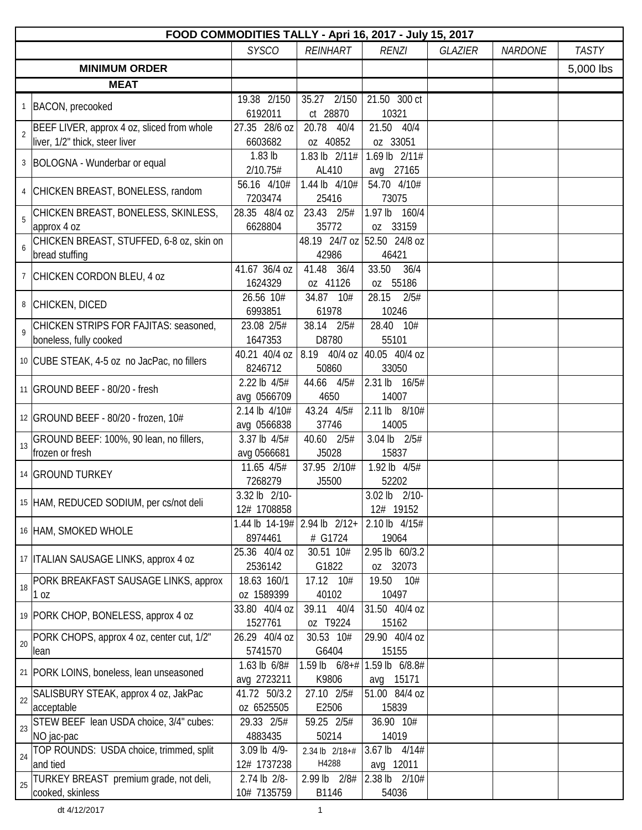|    | FOOD COMMODITIES TALLY - Apri 16, 2017 - July 15, 2017  |                             |                                          |                                          |                |                |              |  |  |
|----|---------------------------------------------------------|-----------------------------|------------------------------------------|------------------------------------------|----------------|----------------|--------------|--|--|
|    |                                                         | <b>SYSCO</b>                | <b>REINHART</b>                          | <b>RENZI</b>                             | <b>GLAZIER</b> | <b>NARDONE</b> | <b>TASTY</b> |  |  |
|    | <b>MINIMUM ORDER</b>                                    |                             |                                          |                                          |                |                | 5,000 lbs    |  |  |
|    | <b>MEAT</b>                                             |                             |                                          |                                          |                |                |              |  |  |
|    |                                                         | 19.38 2/150                 | 35.27 2/150                              | 21.50 300 ct                             |                |                |              |  |  |
|    | 1   BACON, precooked                                    | 6192011                     | ct 28870                                 | 10321                                    |                |                |              |  |  |
|    | BEEF LIVER, approx 4 oz, sliced from whole              | 27.35 28/6 oz               | 20.78<br>40/4                            | 21.50 40/4                               |                |                |              |  |  |
|    | liver, 1/2" thick, steer liver                          | 6603682                     | oz 40852                                 | oz 33051                                 |                |                |              |  |  |
|    | 3   BOLOGNA - Wunderbar or equal                        | 1.83 lb                     | 1.83 lb 2/11#                            | 1.69 lb 2/11#                            |                |                |              |  |  |
|    |                                                         | 2/10.75#                    | AL410                                    | avg 27165                                |                |                |              |  |  |
|    | 4 CHICKEN BREAST, BONELESS, random                      | 56.16 4/10#                 | 1.44 lb 4/10#                            | 54.70 4/10#                              |                |                |              |  |  |
|    |                                                         | 7203474                     | 25416                                    | 73075                                    |                |                |              |  |  |
| 5  | CHICKEN BREAST, BONELESS, SKINLESS,                     | 28.35 48/4 oz               | 23.43 2/5#                               | 1.97 lb 160/4                            |                |                |              |  |  |
|    | approx 4 oz<br>CHICKEN BREAST, STUFFED, 6-8 oz, skin on | 6628804                     | 35772                                    | oz 33159<br>48.19 24/7 oz 52.50 24/8 oz  |                |                |              |  |  |
|    | bread stuffing                                          |                             | 42986                                    | 46421                                    |                |                |              |  |  |
|    |                                                         | 41.67 36/4 oz               | 41.48 36/4                               | 36/4<br>33.50                            |                |                |              |  |  |
|    | 7 CHICKEN CORDON BLEU, 4 oz                             | 1624329                     | oz 41126                                 | oz 55186                                 |                |                |              |  |  |
|    |                                                         | 26.56 10#                   | 34.87 10#                                | 28.15<br>2/5#                            |                |                |              |  |  |
|    | 8 CHICKEN, DICED                                        | 6993851                     | 61978                                    | 10246                                    |                |                |              |  |  |
|    | CHICKEN STRIPS FOR FAJITAS: seasoned,                   | 23.08 2/5#                  | 38.14 2/5#                               | 28.40 10#                                |                |                |              |  |  |
| 9  | boneless, fully cooked                                  | 1647353                     | D8780                                    | 55101                                    |                |                |              |  |  |
|    |                                                         |                             | 40.21 40/4 oz 8.19 40/4 oz 40.05 40/4 oz |                                          |                |                |              |  |  |
|    | 10 CUBE STEAK, 4-5 oz no JacPac, no fillers             | 8246712                     | 50860                                    | 33050                                    |                |                |              |  |  |
|    |                                                         | 2.22 lb 4/5#                | 44.66 4/5#                               | 2.31 lb 16/5#                            |                |                |              |  |  |
|    | 11 GROUND BEEF - 80/20 - fresh                          | avg 0566709                 | 4650                                     | 14007                                    |                |                |              |  |  |
|    |                                                         | 2.14 lb 4/10#               | 43.24 4/5#                               | 2.11 lb 8/10#                            |                |                |              |  |  |
|    | 12 GROUND BEEF - 80/20 - frozen, 10#                    | avg 0566838                 | 37746                                    | 14005                                    |                |                |              |  |  |
| 13 | GROUND BEEF: 100%, 90 lean, no fillers,                 | 3.37 lb 4/5#                | 40.60 2/5#                               | 3.04 lb 2/5#                             |                |                |              |  |  |
|    | frozen or fresh                                         | avg 0566681                 | J5028                                    | 15837                                    |                |                |              |  |  |
|    | 14 GROUND TURKEY                                        | 11.65 4/5#                  | 37.95 2/10#                              | 1.92 lb 4/5#                             |                |                |              |  |  |
|    |                                                         | 7268279                     | J5500                                    | 52202                                    |                |                |              |  |  |
|    | 15 HAM, REDUCED SODIUM, per cs/not deli                 | 3.32 lb 2/10-               |                                          | $\overline{3.02}$ lb $\overline{2}/10$ - |                |                |              |  |  |
|    |                                                         | 12# 1708858                 |                                          | 12# 19152                                |                |                |              |  |  |
|    | 16 HAM, SMOKED WHOLE                                    |                             | 1.44 lb $14-19\#$ 2.94 lb $2/12+$        | 2.10 lb 4/15#                            |                |                |              |  |  |
|    |                                                         | 8974461                     | # G1724                                  | 19064                                    |                |                |              |  |  |
|    | 17   ITALIAN SAUSAGE LINKS, approx 4 oz                 | 25.36 40/4 oz               | 30.51 10#                                | 2.95 lb 60/3.2                           |                |                |              |  |  |
|    |                                                         | 2536142                     | G1822                                    | oz 32073                                 |                |                |              |  |  |
| 18 | PORK BREAKFAST SAUSAGE LINKS, approx                    | 18.63 160/1                 | 17.12 10#                                | 19.50<br>10#                             |                |                |              |  |  |
|    | 1 oz                                                    | oz 1589399<br>33.80 40/4 oz | 40102<br>39.11 40/4                      | 10497<br>31.50 40/4 oz                   |                |                |              |  |  |
|    | 19 PORK CHOP, BONELESS, approx 4 oz                     | 1527761                     | oz T9224                                 | 15162                                    |                |                |              |  |  |
|    | PORK CHOPS, approx 4 oz, center cut, 1/2"               | 26.29 40/4 oz               | 30.53 10#                                | 29.90 40/4 oz                            |                |                |              |  |  |
| 20 | lean                                                    | 5741570                     | G6404                                    | 15155                                    |                |                |              |  |  |
|    |                                                         | 1.63 lb 6/8#                | 1.59 lb $6/8 + H$                        | 1.59 lb 6/8.8#                           |                |                |              |  |  |
|    | 21   PORK LOINS, boneless, lean unseasoned              | avg 2723211                 | K9806                                    | 15171<br>avg                             |                |                |              |  |  |
|    | SALISBURY STEAK, approx 4 oz, JakPac                    | 41.72 50/3.2                | 27.10 2/5#                               | 51.00 84/4 oz                            |                |                |              |  |  |
| 22 | acceptable                                              | oz 6525505                  | E2506                                    | 15839                                    |                |                |              |  |  |
|    | STEW BEEF lean USDA choice, 3/4" cubes:                 | 29.33 2/5#                  | 59.25 2/5#                               | 36.90 10#                                |                |                |              |  |  |
| 23 | NO jac-pac                                              | 4883435                     | 50214                                    | 14019                                    |                |                |              |  |  |
|    | TOP ROUNDS: USDA choice, trimmed, split                 | 3.09 lb 4/9-                | 2.34 lb 2/18+#                           | 3.67 lb 4/14#                            |                |                |              |  |  |
| 24 | and tied                                                | 12# 1737238                 | H4288                                    | avg 12011                                |                |                |              |  |  |
| 25 | TURKEY BREAST premium grade, not deli,                  | 2.74 lb 2/8-                | 2.99 lb 2/8#                             | 2.38 lb 2/10#                            |                |                |              |  |  |
|    | cooked, skinless                                        | 10# 7135759                 | B1146                                    | 54036                                    |                |                |              |  |  |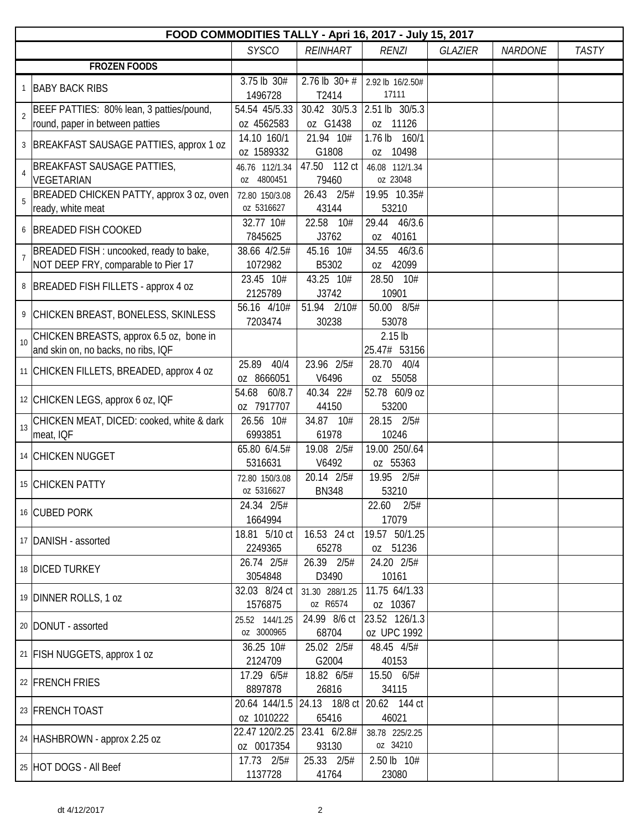| FOOD COMMODITIES TALLY - Apri 16, 2017 - July 15, 2017     |                              |                                          |                            |                |                |              |  |  |  |
|------------------------------------------------------------|------------------------------|------------------------------------------|----------------------------|----------------|----------------|--------------|--|--|--|
|                                                            | <b>SYSCO</b>                 | <b>REINHART</b>                          | <b>RENZI</b>               | <b>GLAZIER</b> | <b>NARDONE</b> | <b>TASTY</b> |  |  |  |
| <b>FROZEN FOODS</b>                                        |                              |                                          |                            |                |                |              |  |  |  |
| <b>BABY BACK RIBS</b><br>$\mathbf{1}$                      | 3.75 lb 30#                  | $2.76$ lb $30+#$                         | 2.92 lb 16/2.50#           |                |                |              |  |  |  |
|                                                            | 1496728                      | T2414                                    | 17111                      |                |                |              |  |  |  |
| BEEF PATTIES: 80% lean, 3 patties/pound,<br>$\overline{2}$ | 54.54 45/5.33                | 30.42 30/5.3                             | 2.51 lb 30/5.3             |                |                |              |  |  |  |
| round, paper in between patties                            | oz 4562583                   | oz G1438                                 | oz 11126                   |                |                |              |  |  |  |
| BREAKFAST SAUSAGE PATTIES, approx 1 oz<br>3                | 14.10 160/1                  | 21.94 10#                                | 1.76 lb 160/1              |                |                |              |  |  |  |
|                                                            | oz 1589332                   | G1808                                    | oz 10498                   |                |                |              |  |  |  |
| BREAKFAST SAUSAGE PATTIES,<br>$\overline{4}$<br>VEGETARIAN | 46.76 112/1.34<br>oz 4800451 | 47.50 112 ct<br>79460                    | 46.08 112/1.34<br>oz 23048 |                |                |              |  |  |  |
| BREADED CHICKEN PATTY, approx 3 oz, oven<br>5              | 72.80 150/3.08               | 26.43 2/5#                               | 19.95 10.35#               |                |                |              |  |  |  |
| ready, white meat                                          | oz 5316627                   | 43144                                    | 53210                      |                |                |              |  |  |  |
| <b>BREADED FISH COOKED</b><br>6                            | 32.77 10#                    | 22.58 10#                                | 29.44 46/3.6               |                |                |              |  |  |  |
|                                                            | 7845625                      | J3762                                    | oz 40161                   |                |                |              |  |  |  |
| BREADED FISH : uncooked, ready to bake,<br>$\overline{7}$  | 38.66 4/2.5#                 | 45.16 10#                                | 34.55<br>46/3.6            |                |                |              |  |  |  |
| NOT DEEP FRY, comparable to Pier 17                        | 1072982                      | B5302                                    | oz 42099                   |                |                |              |  |  |  |
| 8<br>BREADED FISH FILLETS - approx 4 oz                    | 23.45 10#                    | 43.25 10#                                | 28.50 10#                  |                |                |              |  |  |  |
|                                                            | 2125789                      | J3742                                    | 10901                      |                |                |              |  |  |  |
| 9 CHICKEN BREAST, BONELESS, SKINLESS                       | 56.16 4/10#                  | 51.94 2/10#                              | 50.00 8/5#                 |                |                |              |  |  |  |
|                                                            | 7203474                      | 30238                                    | 53078                      |                |                |              |  |  |  |
| CHICKEN BREASTS, approx 6.5 oz, bone in<br>10              |                              |                                          | $2.15$ lb                  |                |                |              |  |  |  |
| and skin on, no backs, no ribs, IQF                        |                              |                                          | 25.47# 53156               |                |                |              |  |  |  |
| 11 CHICKEN FILLETS, BREADED, approx 4 oz                   | 25.89<br>40/4                | 23.96 2/5#                               | 28.70 40/4                 |                |                |              |  |  |  |
|                                                            | oz 8666051                   | V6496                                    | oz 55058                   |                |                |              |  |  |  |
| 12 CHICKEN LEGS, approx 6 oz, IQF                          | 54.68 60/8.7                 | 40.34 22#                                | 52.78 60/9 oz              |                |                |              |  |  |  |
|                                                            | oz 7917707                   | 44150                                    | 53200                      |                |                |              |  |  |  |
| CHICKEN MEAT, DICED: cooked, white & dark<br>13            | 26.56 10#                    | 34.87 10#                                | 28.15 2/5#                 |                |                |              |  |  |  |
| meat, IQF                                                  | 6993851                      | 61978                                    | 10246                      |                |                |              |  |  |  |
| 14 CHICKEN NUGGET                                          | 65.80 6/4.5#<br>5316631      | 19.08 2/5#<br>V6492                      | 19.00 250/.64              |                |                |              |  |  |  |
|                                                            |                              |                                          | oz 55363<br>19.95 2/5#     |                |                |              |  |  |  |
| 15 CHICKEN PATTY                                           | 72.80 150/3.08<br>oz 5316627 | 20.14 2/5#                               | 53210                      |                |                |              |  |  |  |
|                                                            | 24.34 2/5#                   | <b>BN348</b>                             | 22.60 2/5#                 |                |                |              |  |  |  |
| 16 CUBED PORK                                              | 1664994                      |                                          | 17079                      |                |                |              |  |  |  |
|                                                            | 18.81 5/10 ct                | 16.53 24 ct                              | 19.57 50/1.25              |                |                |              |  |  |  |
| 17   DANISH - assorted                                     | 2249365                      | 65278                                    | oz 51236                   |                |                |              |  |  |  |
|                                                            | 26.74 2/5#                   | 26.39 2/5#                               | 24.20 2/5#                 |                |                |              |  |  |  |
| 18 DICED TURKEY                                            | 3054848                      | D3490                                    | 10161                      |                |                |              |  |  |  |
|                                                            | 32.03 8/24 ct                | 31.30 288/1.25                           | 11.75 64/1.33              |                |                |              |  |  |  |
| 19 DINNER ROLLS, 1 oz                                      | 1576875                      | oz R6574                                 | oz 10367                   |                |                |              |  |  |  |
|                                                            | 25.52 144/1.25               | 24.99 8/6 ct                             | 23.52 126/1.3              |                |                |              |  |  |  |
| 20   DONUT - assorted                                      | oz 3000965                   | 68704                                    | oz UPC 1992                |                |                |              |  |  |  |
|                                                            | 36.25 10#                    | 25.02 2/5#                               | 48.45 4/5#                 |                |                |              |  |  |  |
| 21 FISH NUGGETS, approx 1 oz                               | 2124709                      | G2004                                    | 40153                      |                |                |              |  |  |  |
|                                                            | 17.29 6/5#                   | 18.82 6/5#                               | 15.50 6/5#                 |                |                |              |  |  |  |
| 22 FRENCH FRIES                                            | 8897878                      | 26816                                    | 34115                      |                |                |              |  |  |  |
|                                                            |                              | 20.64 144/1.5 24.13 18/8 ct 20.62 144 ct |                            |                |                |              |  |  |  |
| 23 FRENCH TOAST                                            | oz 1010222                   | 65416                                    | 46021                      |                |                |              |  |  |  |
|                                                            | 22.47 120/2.25               | 23.41 6/2.8#                             | 38.78 225/2.25             |                |                |              |  |  |  |
| 24 HASHBROWN - approx 2.25 oz                              | oz 0017354                   | 93130                                    | oz 34210                   |                |                |              |  |  |  |
|                                                            | 17.73 2/5#                   | 25.33 2/5#                               | 2.50 lb 10#                |                |                |              |  |  |  |
| 25 HOT DOGS - All Beef                                     | 1137728                      | 41764                                    | 23080                      |                |                |              |  |  |  |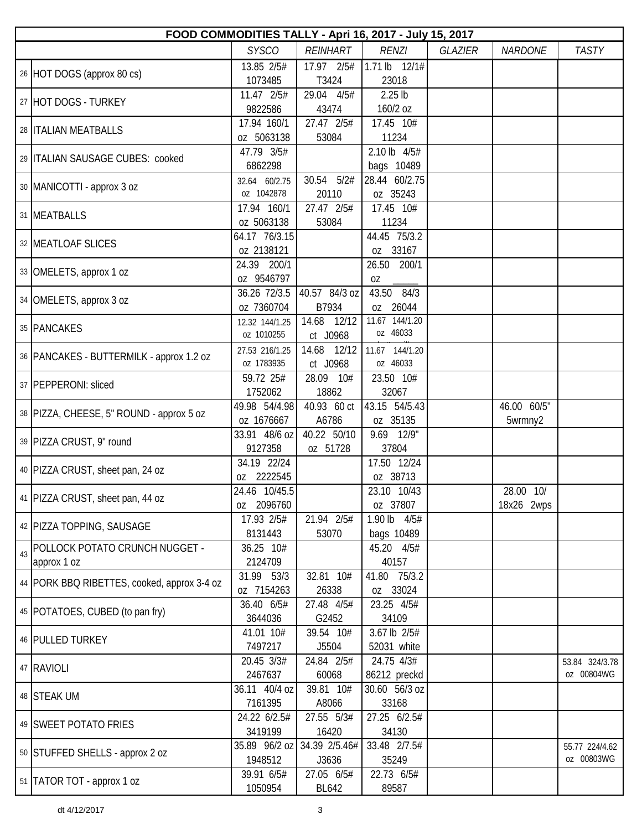|    | FOOD COMMODITIES TALLY - Apri 16, 2017 - July 15, 2017 |                              |                            |                             |                |                         |                              |  |  |  |
|----|--------------------------------------------------------|------------------------------|----------------------------|-----------------------------|----------------|-------------------------|------------------------------|--|--|--|
|    |                                                        | <b>SYSCO</b>                 | <b>REINHART</b>            | <b>RENZI</b>                | <b>GLAZIER</b> | <b>NARDONE</b>          | <b>TASTY</b>                 |  |  |  |
|    | 26 HOT DOGS (approx 80 cs)                             | 13.85 2/5#<br>1073485        | 17.97 2/5#<br>T3424        | 1.71 lb 12/1#<br>23018      |                |                         |                              |  |  |  |
|    | 27 HOT DOGS - TURKEY                                   | 11.47 2/5#<br>9822586        | 29.04 4/5#<br>43474        | $2.25$ lb<br>160/2 oz       |                |                         |                              |  |  |  |
|    | 28   ITALIAN MEATBALLS                                 | 17.94 160/1<br>oz 5063138    | 27.47 2/5#<br>53084        | 17.45 10#<br>11234          |                |                         |                              |  |  |  |
|    | 29 ITALIAN SAUSAGE CUBES: cooked                       | 47.79 3/5#<br>6862298        |                            | 2.10 lb 4/5#<br>bags 10489  |                |                         |                              |  |  |  |
|    | 30   MANICOTTI - approx 3 oz                           | 32.64 60/2.75<br>oz 1042878  | 30.54 5/2#<br>20110        | 28.44 60/2.75<br>oz 35243   |                |                         |                              |  |  |  |
|    | 31 MEATBALLS                                           | 17.94 160/1<br>oz 5063138    | 27.47 2/5#<br>53084        | 17.45 10#<br>11234          |                |                         |                              |  |  |  |
|    | 32 MEATLOAF SLICES                                     | 64.17 76/3.15<br>oz 2138121  |                            | 44.45 75/3.2<br>oz 33167    |                |                         |                              |  |  |  |
|    | 33 OMELETS, approx 1 oz                                | 24.39 200/1<br>oz 9546797    |                            | 26.50 200/1<br>0Z           |                |                         |                              |  |  |  |
|    | 34 OMELETS, approx 3 oz                                | 36.26 72/3.5<br>oz 7360704   | 40.57 84/3 oz<br>B7934     | 43.50 84/3<br>oz 26044      |                |                         |                              |  |  |  |
|    | 35 PANCAKES                                            | 12.32 144/1.25<br>oz 1010255 | 14.68 12/12<br>ct J0968    | 11.67 144/1.20<br>oz 46033  |                |                         |                              |  |  |  |
|    | 36   PANCAKES - BUTTERMILK - approx 1.2 oz             | 27.53 216/1.25<br>oz 1783935 | 14.68 12/12<br>ct J0968    | 11.67 144/1.20<br>oz 46033  |                |                         |                              |  |  |  |
|    | 37 PEPPERONI: sliced                                   | 59.72 25#<br>1752062         | 28.09 10#<br>18862         | 23.50 10#<br>32067          |                |                         |                              |  |  |  |
|    | 38   PIZZA, CHEESE, 5" ROUND - approx 5 oz             | 49.98 54/4.98<br>oz 1676667  | 40.93 60 ct<br>A6786       | 43.15 54/5.43<br>oz 35135   |                | 46.00 60/5"<br>5wrmny2  |                              |  |  |  |
|    | 39 PIZZA CRUST, 9" round                               | 33.91 48/6 oz<br>9127358     | 40.22 50/10<br>oz 51728    | 9.69 12/9"<br>37804         |                |                         |                              |  |  |  |
|    | 40 PIZZA CRUST, sheet pan, 24 oz                       | 34.19 22/24<br>oz 2222545    |                            | 17.50 12/24<br>oz 38713     |                |                         |                              |  |  |  |
|    | 41 PIZZA CRUST, sheet pan, 44 oz                       | 24.46 10/45.5<br>oz 2096760  |                            | 23.10 10/43<br>oz 37807     |                | 28.00 10/<br>18x26 2wps |                              |  |  |  |
|    | 42 PIZZA TOPPING, SAUSAGE                              | 17.93 2/5#<br>8131443        | 21.94 2/5#<br>53070        | 1.90 lb 4/5#<br>bags 10489  |                |                         |                              |  |  |  |
| 43 | POLLOCK POTATO CRUNCH NUGGET -<br>approx 1 oz          | 36.25 10#<br>2124709         |                            | 45.20 4/5#<br>40157         |                |                         |                              |  |  |  |
|    | 44   PORK BBQ RIBETTES, cooked, approx 3-4 oz          | 31.99 53/3<br>oz 7154263     | 32.81 10#<br>26338         | 41.80 75/3.2<br>oz 33024    |                |                         |                              |  |  |  |
|    | 45   POTATOES, CUBED (to pan fry)                      | 36.40 6/5#<br>3644036        | 27.48 4/5#<br>G2452        | 23.25 4/5#<br>34109         |                |                         |                              |  |  |  |
|    | 46 PULLED TURKEY                                       | 41.01 10#<br>7497217         | 39.54 10#<br>J5504         | 3.67 lb 2/5#<br>52031 white |                |                         |                              |  |  |  |
|    | 47 RAVIOLI                                             | 20.45 3/3#<br>2467637        | 24.84 2/5#<br>60068        | 24.75 4/3#<br>86212 preckd  |                |                         | 53.84 324/3.78<br>oz 00804WG |  |  |  |
|    | 48 STEAK UM                                            | 36.11 40/4 oz<br>7161395     | 39.81 10#<br>A8066         | 30.60 56/3 oz<br>33168      |                |                         |                              |  |  |  |
|    | 49 SWEET POTATO FRIES                                  | 24.22 6/2.5#<br>3419199      | 27.55 5/3#<br>16420        | 27.25 6/2.5#<br>34130       |                |                         |                              |  |  |  |
|    | 50 STUFFED SHELLS - approx 2 oz                        | 35.89 96/2 oz<br>1948512     | 34.39 2/5.46#<br>J3636     | 33.48 2/7.5#<br>35249       |                |                         | 55.77 224/4.62<br>oz 00803WG |  |  |  |
|    | 51   TATOR TOT - approx 1 oz                           | 39.91 6/5#<br>1050954        | 27.05 6/5#<br><b>BL642</b> | 22.73 6/5#<br>89587         |                |                         |                              |  |  |  |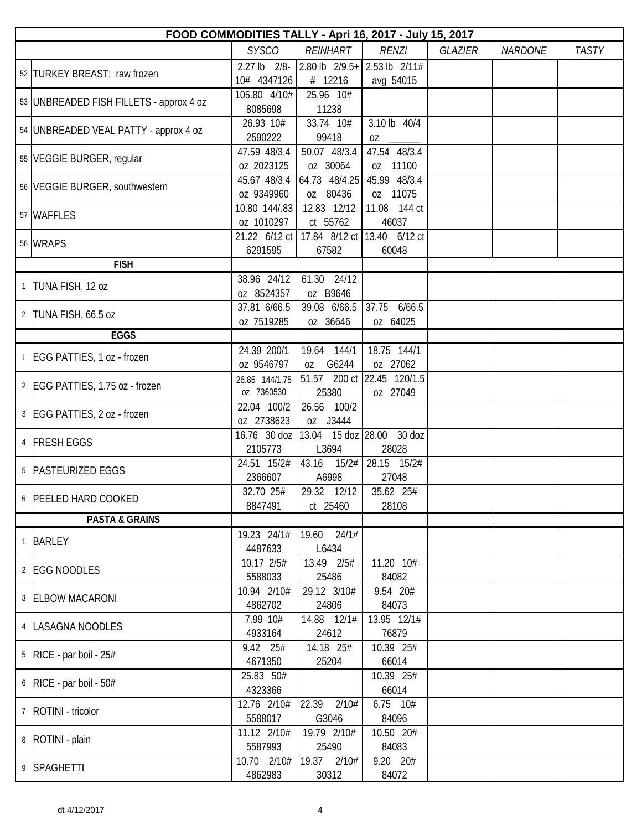|              | FOOD COMMODITIES TALLY - Apri 16, 2017 - July 15, 2017 |                |                |                             |                |                |              |  |  |  |
|--------------|--------------------------------------------------------|----------------|----------------|-----------------------------|----------------|----------------|--------------|--|--|--|
|              |                                                        | <b>SYSCO</b>   | REINHART       | <b>RENZI</b>                | <b>GLAZIER</b> | <b>NARDONE</b> | <b>TASTY</b> |  |  |  |
|              | 52 TURKEY BREAST: raw frozen                           | 2.27 lb 2/8-   | 2.80 lb 2/9.5+ | 2.53 lb 2/11#               |                |                |              |  |  |  |
|              |                                                        | 10# 4347126    | # 12216        | avg 54015                   |                |                |              |  |  |  |
|              | 53   UNBREADED FISH FILLETS - approx 4 oz              | 105.80 4/10#   | 25.96 10#      |                             |                |                |              |  |  |  |
|              |                                                        | 8085698        | 11238          |                             |                |                |              |  |  |  |
|              | 54 UNBREADED VEAL PATTY - approx 4 oz                  | 26.93 10#      | 33.74 10#      | 3.10 lb 40/4                |                |                |              |  |  |  |
|              |                                                        | 2590222        | 99418          | 0Z                          |                |                |              |  |  |  |
|              | 55 VEGGIE BURGER, regular                              | 47.59 48/3.4   | 50.07 48/3.4   | 47.54 48/3.4                |                |                |              |  |  |  |
|              |                                                        | oz 2023125     | oz 30064       | oz 11100                    |                |                |              |  |  |  |
|              | 56 VEGGIE BURGER, southwestern                         | 45.67 48/3.4   | 64.73 48/4.25  | 45.99 48/3.4                |                |                |              |  |  |  |
|              |                                                        | oz 9349960     | oz 80436       | oz 11075                    |                |                |              |  |  |  |
|              | 57 WAFFLES                                             | 10.80 144/.83  | 12.83 12/12    | 11.08 144 ct                |                |                |              |  |  |  |
|              |                                                        | oz 1010297     | ct 55762       | 46037                       |                |                |              |  |  |  |
|              | 58 WRAPS                                               | 21.22 6/12 ct  |                | 17.84 8/12 ct 13.40 6/12 ct |                |                |              |  |  |  |
|              |                                                        | 6291595        | 67582          | 60048                       |                |                |              |  |  |  |
|              | <b>FISH</b>                                            |                |                |                             |                |                |              |  |  |  |
| $\mathbf{1}$ | TUNA FISH, 12 oz                                       | 38.96 24/12    | 61.30 24/12    |                             |                |                |              |  |  |  |
|              |                                                        | oz 8524357     | oz B9646       |                             |                |                |              |  |  |  |
|              | 2 TUNA FISH, 66.5 oz                                   | 37.81 6/66.5   | 39.08 6/66.5   | 37.75 6/66.5                |                |                |              |  |  |  |
|              |                                                        | oz 7519285     | oz 36646       | oz 64025                    |                |                |              |  |  |  |
|              | <b>EGGS</b>                                            |                |                |                             |                |                |              |  |  |  |
|              | 1 EGG PATTIES, 1 oz - frozen                           | 24.39 200/1    | 19.64 144/1    | 18.75 144/1                 |                |                |              |  |  |  |
|              |                                                        | oz 9546797     | G6244<br>0Z    | oz 27062                    |                |                |              |  |  |  |
|              | 2 EGG PATTIES, 1.75 oz - frozen                        | 26.85 144/1.75 |                | 51.57 200 ct 22.45 120/1.5  |                |                |              |  |  |  |
|              |                                                        | oz 7360530     | 25380          | oz 27049                    |                |                |              |  |  |  |
|              | 3 EGG PATTIES, 2 oz - frozen                           | 22.04 100/2    | 26.56 100/2    |                             |                |                |              |  |  |  |
|              |                                                        | 0Z 2738623     | oz J3444       |                             |                |                |              |  |  |  |
|              | 4 FRESH EGGS                                           | 16.76 30 doz   |                | 13.04 15 doz 28.00 30 doz   |                |                |              |  |  |  |
|              |                                                        | 2105773        | L3694          | 28028                       |                |                |              |  |  |  |
|              | 5 PASTEURIZED EGGS                                     | 24.51 15/2#    | 43.16<br>15/2# | 28.15 15/2#                 |                |                |              |  |  |  |
|              |                                                        | 2366607        | A6998          | 27048                       |                |                |              |  |  |  |
|              | 6 PEELED HARD COOKED                                   | 32.70 25#      | 29.32 12/12    | 35.62 25#                   |                |                |              |  |  |  |
|              |                                                        | 8847491        | ct 25460       | 28108                       |                |                |              |  |  |  |
|              | <b>PASTA &amp; GRAINS</b>                              |                |                |                             |                |                |              |  |  |  |
| 1            | <b>BARLEY</b>                                          | 19.23 24/1#    | 19.60 24/1#    |                             |                |                |              |  |  |  |
|              |                                                        | 4487633        | L6434          |                             |                |                |              |  |  |  |
|              | 2 EGG NOODLES                                          | 10.17 2/5#     | 13.49 2/5#     | 11.20 10#                   |                |                |              |  |  |  |
|              |                                                        | 5588033        | 25486          | 84082                       |                |                |              |  |  |  |
|              | 3 ELBOW MACARONI                                       | 10.94 2/10#    | 29.12 3/10#    | 9.54 20#                    |                |                |              |  |  |  |
|              |                                                        | 4862702        | 24806          | 84073                       |                |                |              |  |  |  |
|              | 4   LASAGNA NOODLES                                    | 7.99 10#       | 14.88 12/1#    | 13.95 12/1#                 |                |                |              |  |  |  |
|              |                                                        | 4933164        | 24612          | 76879                       |                |                |              |  |  |  |
|              | $5$ RICE - par boil - 25#                              | 9.42 25#       | 14.18 25#      | 10.39 25#                   |                |                |              |  |  |  |
|              |                                                        | 4671350        | 25204          | 66014                       |                |                |              |  |  |  |
|              | $6$ RICE - par boil - 50#                              | 25.83 50#      |                | 10.39 25#                   |                |                |              |  |  |  |
|              |                                                        | 4323366        |                | 66014                       |                |                |              |  |  |  |
|              | 7   ROTINI - tricolor                                  | 12.76 2/10#    | 22.39 2/10#    | $6.75$ $10#$                |                |                |              |  |  |  |
|              |                                                        | 5588017        | G3046          | 84096                       |                |                |              |  |  |  |
|              | 8   ROTINI - plain                                     | 11.12 2/10#    | 19.79 2/10#    | 10.50 20#                   |                |                |              |  |  |  |
|              |                                                        | 5587993        | 25490          | 84083                       |                |                |              |  |  |  |
|              | 9 SPAGHETTI                                            | 10.70 2/10#    | 19.37 2/10#    | 9.20 20#                    |                |                |              |  |  |  |
|              |                                                        | 4862983        | 30312          | 84072                       |                |                |              |  |  |  |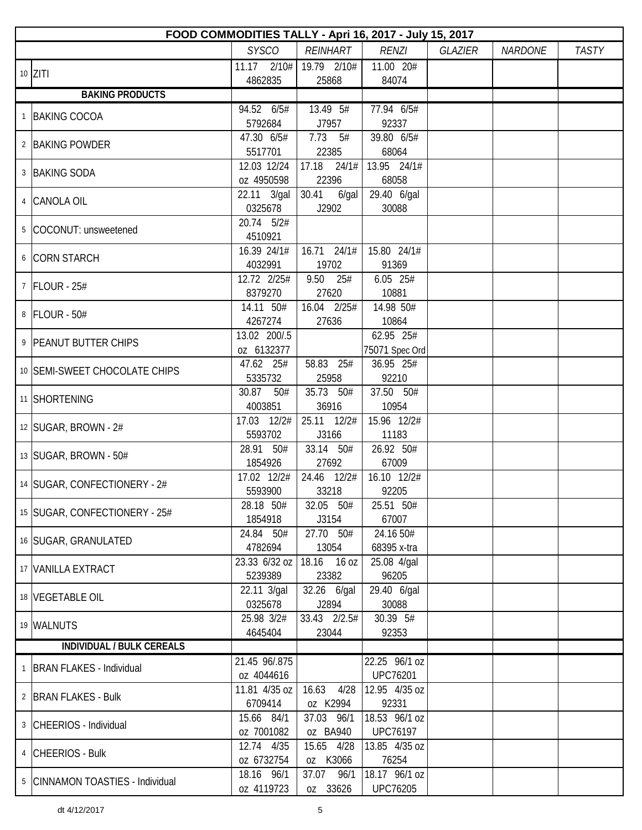| FOOD COMMODITIES TALLY - Apri 16, 2017 - July 15, 2017 |                             |                         |                                  |         |                |              |  |  |  |
|--------------------------------------------------------|-----------------------------|-------------------------|----------------------------------|---------|----------------|--------------|--|--|--|
|                                                        | <b>SYSCO</b>                | <b>REINHART</b>         | <b>RENZI</b>                     | GLAZIER | <b>NARDONE</b> | <b>TASTY</b> |  |  |  |
| $10$ ZITI                                              | 11.17<br>2/10#              | 19.79 2/10#             | 11.00 20#                        |         |                |              |  |  |  |
|                                                        | 4862835                     | 25868                   | 84074                            |         |                |              |  |  |  |
| <b>BAKING PRODUCTS</b>                                 |                             |                         |                                  |         |                |              |  |  |  |
| 1 BAKING COCOA                                         | 94.52 6/5#<br>5792684       | 13.49 5#<br>J7957       | 77.94 6/5#<br>92337              |         |                |              |  |  |  |
| 2 BAKING POWDER                                        | 47.30 6/5#                  | $7.73$ 5#               | 39.80 6/5#                       |         |                |              |  |  |  |
|                                                        | 5517701                     | 22385                   | 68064                            |         |                |              |  |  |  |
| 3 BAKING SODA                                          | 12.03 12/24                 |                         | $17.18$ $24/1\#$ 13.95 $24/1\#$  |         |                |              |  |  |  |
|                                                        | oz 4950598                  | 22396                   | 68058                            |         |                |              |  |  |  |
| 4 CANOLA OIL                                           | 22.11 3/gal<br>0325678      | 30.41<br>6/gal<br>J2902 | 29.40 6/gal<br>30088             |         |                |              |  |  |  |
| 5 COCONUT: unsweetened                                 | 20.74 5/2#                  |                         |                                  |         |                |              |  |  |  |
|                                                        | 4510921                     |                         |                                  |         |                |              |  |  |  |
| 6 CORN STARCH                                          | 16.39 24/1#                 | $16.71$ $24/1#$         | 15.80 24/1#                      |         |                |              |  |  |  |
|                                                        | 4032991                     | 19702                   | 91369                            |         |                |              |  |  |  |
| 7 FLOUR - 25#                                          | 12.72 2/25#                 | 9.50 25#                | 6.05 25#                         |         |                |              |  |  |  |
|                                                        | 8379270<br>14.11 50#        | 27620<br>16.04 2/25#    | 10881<br>14.98 50#               |         |                |              |  |  |  |
| 8 FLOUR - 50#                                          | 4267274                     | 27636                   | 10864                            |         |                |              |  |  |  |
|                                                        | 13.02 200/.5                |                         | 62.95 25#                        |         |                |              |  |  |  |
| 9 PEANUT BUTTER CHIPS                                  | oz 6132377                  |                         | 75071 Spec Ord                   |         |                |              |  |  |  |
|                                                        | 47.62 25#                   | 58.83 25#               | 36.95 25#                        |         |                |              |  |  |  |
| 10 SEMI-SWEET CHOCOLATE CHIPS                          | 5335732                     | 25958                   | 92210                            |         |                |              |  |  |  |
|                                                        | 30.87<br>50#                | 35.73 50#               | 37.50 50#                        |         |                |              |  |  |  |
| 11 SHORTENING                                          | 4003851                     | 36916                   | 10954                            |         |                |              |  |  |  |
| 12   SUGAR, BROWN - 2#                                 | 17.03 12/2#                 | 25.11 12/2#             | 15.96 12/2#                      |         |                |              |  |  |  |
|                                                        | 5593702                     | J3166                   | 11183                            |         |                |              |  |  |  |
| 13 SUGAR, BROWN - 50#                                  | 28.91 50#                   | 33.14 50#               | 26.92 50#                        |         |                |              |  |  |  |
|                                                        | 1854926                     | 27692                   | 67009                            |         |                |              |  |  |  |
| 14 SUGAR, CONFECTIONERY - 2#                           | 17.02 12/2#                 | 24.46 12/2#             | 16.10 12/2#                      |         |                |              |  |  |  |
|                                                        | 5593900<br>28.18 50#        | 33218                   | 92205<br>25.51 50#               |         |                |              |  |  |  |
| 15 SUGAR, CONFECTIONERY - 25#                          | 1854918                     | 32.05 50#<br>J3154      | 67007                            |         |                |              |  |  |  |
|                                                        | 24.84 50#                   | 27.70 50#               | 24.16 50#                        |         |                |              |  |  |  |
| 16 SUGAR, GRANULATED                                   | 4782694                     | 13054                   | 68395 x-tra                      |         |                |              |  |  |  |
|                                                        | 23.33 6/32 oz               | 18.16 16 oz             | 25.08 4/gal                      |         |                |              |  |  |  |
| 17 VANILLA EXTRACT                                     | 5239389                     | 23382                   | 96205                            |         |                |              |  |  |  |
| 18 VEGETABLE OIL                                       | 22.11 3/gal                 | 32.26 6/gal             | 29.40 6/gal                      |         |                |              |  |  |  |
|                                                        | 0325678                     | J2894                   | 30088                            |         |                |              |  |  |  |
| 19 WALNUTS                                             | 25.98 3/2#                  | 33.43 2/2.5#            | 30.39 5#                         |         |                |              |  |  |  |
| <b>INDIVIDUAL / BULK CEREALS</b>                       | 4645404                     | 23044                   | 92353                            |         |                |              |  |  |  |
|                                                        |                             |                         |                                  |         |                |              |  |  |  |
| 1 BRAN FLAKES - Individual                             | 21.45 96/.875<br>oz 4044616 |                         | 22.25 96/1 oz<br><b>UPC76201</b> |         |                |              |  |  |  |
|                                                        | 11.81 4/35 oz               | 16.63<br>4/28           | 12.95 4/35 oz                    |         |                |              |  |  |  |
| 2 BRAN FLAKES - Bulk                                   | 6709414                     | oz K2994                | 92331                            |         |                |              |  |  |  |
|                                                        | 15.66 84/1                  | 37.03 96/1              | 18.53 96/1 oz                    |         |                |              |  |  |  |
| 3 CHEERIOS - Individual                                | oz 7001082                  | oz BA940                | <b>UPC76197</b>                  |         |                |              |  |  |  |
| 4 CHEERIOS - Bulk                                      | 12.74 4/35                  | 15.65 4/28              | 13.85 4/35 oz                    |         |                |              |  |  |  |
|                                                        | oz 6732754                  | oz K3066                | 76254                            |         |                |              |  |  |  |
| 5 CINNAMON TOASTIES - Individual                       | 18.16 96/1                  | 37.07<br>96/1           | 18.17 96/1 oz                    |         |                |              |  |  |  |
|                                                        | oz 4119723                  | oz 33626                | <b>UPC76205</b>                  |         |                |              |  |  |  |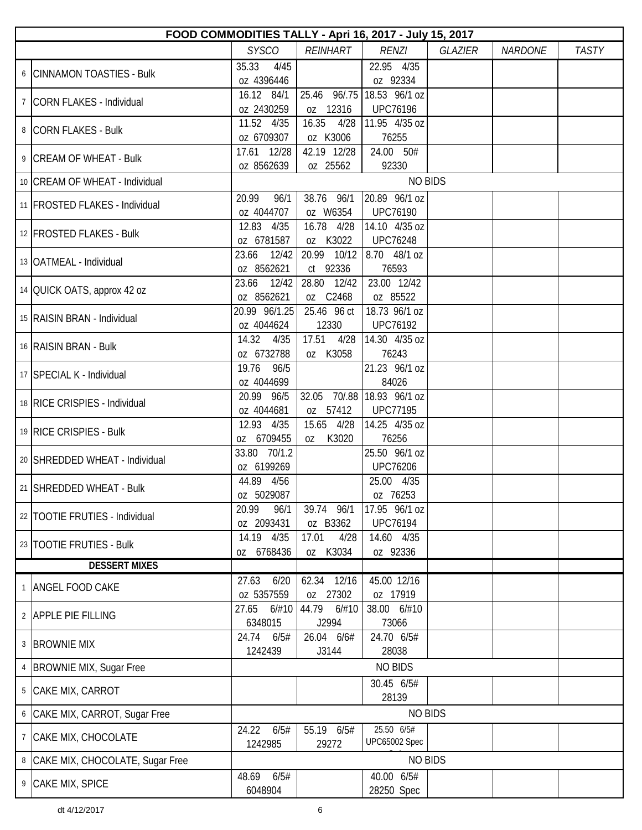| FOOD COMMODITIES TALLY - Apri 16, 2017 - July 15, 2017 |                              |                           |                                               |                |                |              |  |  |  |
|--------------------------------------------------------|------------------------------|---------------------------|-----------------------------------------------|----------------|----------------|--------------|--|--|--|
|                                                        | <b>SYSCO</b>                 | REINHART                  | <b>RENZI</b>                                  | <b>GLAZIER</b> | <b>NARDONE</b> | <b>TASTY</b> |  |  |  |
| 6 CINNAMON TOASTIES - Bulk                             | 35.33<br>4/45<br>oz 4396446  |                           | 22.95 4/35<br>oz 92334                        |                |                |              |  |  |  |
| 7 CORN FLAKES - Individual                             | 16.12 84/1<br>oz 2430259     | oz 12316                  | 25.46 96/.75 18.53 96/1 oz<br><b>UPC76196</b> |                |                |              |  |  |  |
| 8 CORN FLAKES - Bulk                                   | 11.52 4/35<br>oz 6709307     | 16.35<br>4/28<br>oz K3006 | 11.95 4/35 oz<br>76255                        |                |                |              |  |  |  |
| 9 CREAM OF WHEAT - Bulk                                | 17.61 12/28<br>oz 8562639    | 42.19 12/28<br>oz 25562   | 24.00 50#<br>92330                            |                |                |              |  |  |  |
| 10 CREAM OF WHEAT - Individual                         |                              |                           | <b>NO BIDS</b>                                |                |                |              |  |  |  |
| 11   FROSTED FLAKES - Individual                       | 20.99<br>96/1<br>oz 4044707  | 38.76 96/1<br>oz W6354    | 20.89 96/1 oz<br><b>UPC76190</b>              |                |                |              |  |  |  |
| 12 FROSTED FLAKES - Bulk                               | 12.83 4/35<br>oz 6781587     | 16.78 4/28<br>oz K3022    | 14.10 4/35 oz<br><b>UPC76248</b>              |                |                |              |  |  |  |
| 13 OATMEAL - Individual                                | 23.66<br>12/42<br>oz 8562621 | 20.99 10/12<br>ct 92336   | 8.70 48/1 oz<br>76593                         |                |                |              |  |  |  |
| 14 OUICK OATS, approx 42 oz                            | 23.66 12/42<br>oz 8562621    | 28.80 12/42<br>oz C2468   | 23.00 12/42<br>oz 85522                       |                |                |              |  |  |  |
| 15 RAISIN BRAN - Individual                            | 20.99 96/1.25<br>oz 4044624  | 25.46 96 ct<br>12330      | 18.73 96/1 oz<br><b>UPC76192</b>              |                |                |              |  |  |  |
| 16 RAISIN BRAN - Bulk                                  | 14.32 4/35<br>oz 6732788     | 17.51<br>4/28<br>oz K3058 | 14.30 4/35 oz<br>76243                        |                |                |              |  |  |  |
| 17 SPECIAL K - Individual                              | 19.76 96/5<br>oz 4044699     |                           | 21.23 96/1 oz<br>84026                        |                |                |              |  |  |  |
| 18 RICE CRISPIES - Individual                          | 20.99 96/5<br>oz 4044681     | oz 57412                  | 32.05 70/.88 18.93 96/1 oz<br><b>UPC77195</b> |                |                |              |  |  |  |
| 19 RICE CRISPIES - Bulk                                | 12.93 4/35<br>oz 6709455     | 15.65 4/28<br>K3020<br>0Z | 14.25 4/35 oz<br>76256                        |                |                |              |  |  |  |
| 20 SHREDDED WHEAT - Individual                         | 33.80 70/1.2<br>oz 6199269   |                           | 25.50 96/1 oz<br><b>UPC76206</b>              |                |                |              |  |  |  |
| 21 SHREDDED WHEAT - Bulk                               | 44.89 4/56<br>oz 5029087     |                           | 25.00 4/35<br>oz 76253                        |                |                |              |  |  |  |
| 22 TOOTIE FRUTIES - Individual                         | 96/1<br>20.99<br>oz 2093431  | 39.74 96/1<br>oz B3362    | 17.95 96/1 oz<br><b>UPC76194</b>              |                |                |              |  |  |  |
| 23   TOOTIE FRUTIES - Bulk                             | 14.19 4/35<br>oz 6768436     | 17.01<br>4/28<br>oz K3034 | 14.60 4/35<br>oz 92336                        |                |                |              |  |  |  |
| <b>DESSERT MIXES</b>                                   |                              |                           |                                               |                |                |              |  |  |  |
| 1 ANGEL FOOD CAKE                                      | 27.63<br>6/20<br>oz 5357559  | 62.34 12/16<br>oz 27302   | 45.00 12/16<br>oz 17919                       |                |                |              |  |  |  |
| 2 APPLE PIE FILLING                                    | 6/#10<br>27.65<br>6348015    | 44.79<br>6/#10<br>J2994   | 38.00 6/#10<br>73066                          |                |                |              |  |  |  |
| 3 BROWNIE MIX                                          | 24.74<br>6/5#<br>1242439     | 26.04 6/6#<br>J3144       | 24.70 6/5#<br>28038                           |                |                |              |  |  |  |
| 4   BROWNIE MIX, Sugar Free                            |                              |                           | <b>NO BIDS</b>                                |                |                |              |  |  |  |
| 5 CAKE MIX, CARROT                                     |                              |                           | 30.45 6/5#<br>28139                           |                |                |              |  |  |  |
| 6 CAKE MIX, CARROT, Sugar Free                         |                              |                           | <b>NO BIDS</b>                                |                |                |              |  |  |  |
| 7 CAKE MIX, CHOCOLATE                                  | 24.22<br>6/5#<br>1242985     | 55.19 6/5#<br>29272       | 25.50 6/5#<br>UPC65002 Spec                   |                |                |              |  |  |  |
| 8 CAKE MIX, CHOCOLATE, Sugar Free                      |                              |                           | <b>NO BIDS</b>                                |                |                |              |  |  |  |
| 9 CAKE MIX, SPICE                                      | 6/5#<br>48.69<br>6048904     |                           | 40.00 6/5#<br>28250 Spec                      |                |                |              |  |  |  |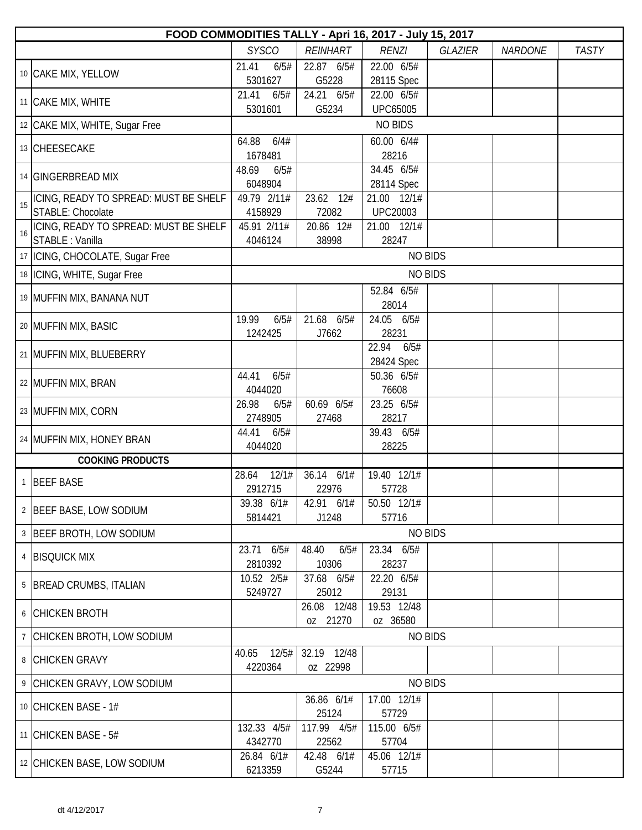|    | FOOD COMMODITIES TALLY - Apri 16, 2017 - July 15, 2017 |                           |                         |                               |                |                |              |  |  |  |
|----|--------------------------------------------------------|---------------------------|-------------------------|-------------------------------|----------------|----------------|--------------|--|--|--|
|    |                                                        | <b>SYSCO</b>              | <b>REINHART</b>         | <b>RENZI</b>                  | <b>GLAZIER</b> | <b>NARDONE</b> | <b>TASTY</b> |  |  |  |
|    | 10 CAKE MIX, YELLOW                                    | 21.41<br>6/5#<br>5301627  | 22.87 6/5#<br>G5228     | 22.00 6/5#<br>28115 Spec      |                |                |              |  |  |  |
|    | 11 CAKE MIX, WHITE                                     | 21.41<br>6/5#<br>5301601  | 24.21 6/5#<br>G5234     | 22.00 6/5#<br><b>UPC65005</b> |                |                |              |  |  |  |
|    | 12 CAKE MIX, WHITE, Sugar Free                         |                           |                         | <b>NO BIDS</b>                |                |                |              |  |  |  |
|    |                                                        | 64.88<br>6/4#             |                         | 60.00 6/4#                    |                |                |              |  |  |  |
|    | 13 CHEESECAKE                                          | 1678481                   |                         | 28216                         |                |                |              |  |  |  |
|    | 14 GINGERBREAD MIX                                     | 48.69<br>6/5#<br>6048904  |                         | 34.45 6/5#<br>28114 Spec      |                |                |              |  |  |  |
| 15 | ICING, READY TO SPREAD: MUST BE SHELF                  | 49.79 2/11#               | 23.62 12#               | 21.00 12/1#                   |                |                |              |  |  |  |
|    | STABLE: Chocolate                                      | 4158929                   | 72082                   | <b>UPC20003</b>               |                |                |              |  |  |  |
| 16 | ICING, READY TO SPREAD: MUST BE SHELF                  | 45.91 2/11#               | 20.86 12#               | 21.00 12/1#                   |                |                |              |  |  |  |
|    | STABLE : Vanilla                                       | 4046124                   | 38998                   | 28247                         |                |                |              |  |  |  |
|    | 17   ICING, CHOCOLATE, Sugar Free                      |                           |                         | <b>NO BIDS</b>                |                |                |              |  |  |  |
|    | 18   ICING, WHITE, Sugar Free                          |                           |                         | <b>NO BIDS</b>                |                |                |              |  |  |  |
|    |                                                        |                           |                         | 52.84 6/5#                    |                |                |              |  |  |  |
|    | 19 MUFFIN MIX, BANANA NUT                              |                           |                         | 28014                         |                |                |              |  |  |  |
|    |                                                        | 19.99<br>6/5#             | 21.68 6/5#              | 24.05 6/5#                    |                |                |              |  |  |  |
|    | 20 MUFFIN MIX, BASIC                                   | 1242425                   | J7662                   | 28231                         |                |                |              |  |  |  |
|    | 21 MUFFIN MIX, BLUEBERRY                               |                           |                         | 22.94<br>6/5#                 |                |                |              |  |  |  |
|    |                                                        |                           |                         | 28424 Spec                    |                |                |              |  |  |  |
|    | 22 MUFFIN MIX, BRAN                                    | 44.41<br>6/5#             |                         | 50.36 6/5#                    |                |                |              |  |  |  |
|    |                                                        | 4044020                   |                         | 76608                         |                |                |              |  |  |  |
|    | 23 MUFFIN MIX, CORN                                    | 26.98<br>6/5#             | 60.69 6/5#              | 23.25 6/5#                    |                |                |              |  |  |  |
|    |                                                        | 2748905                   | 27468                   | 28217                         |                |                |              |  |  |  |
|    | 24 MUFFIN MIX, HONEY BRAN                              | 44.41<br>6/5#             |                         | 39.43 6/5#                    |                |                |              |  |  |  |
|    | <b>COOKING PRODUCTS</b>                                | 4044020                   |                         | 28225                         |                |                |              |  |  |  |
|    |                                                        | 12/1#<br>28.64            | 36.14<br>6/1#           | 19.40 12/1#                   |                |                |              |  |  |  |
|    | 1 BEEF BASE                                            | 2912715                   | 22976                   | 57728                         |                |                |              |  |  |  |
|    |                                                        | 39.38 6/1#                | 42.91 6/1#              | 50.50 12/1#                   |                |                |              |  |  |  |
|    | 2 BEEF BASE, LOW SODIUM                                | 5814421                   | J1248                   | 57716                         |                |                |              |  |  |  |
|    | 3 BEEF BROTH, LOW SODIUM                               |                           |                         | <b>NO BIDS</b>                |                |                |              |  |  |  |
|    |                                                        | 23.71 6/5#                | 48.40<br>6/5#           | 23.34 6/5#                    |                |                |              |  |  |  |
|    | 4 BISQUICK MIX                                         | 2810392                   | 10306                   | 28237                         |                |                |              |  |  |  |
|    |                                                        | 10.52 2/5#                | 37.68 6/5#              | 22.20 6/5#                    |                |                |              |  |  |  |
|    | 5   BREAD CRUMBS, ITALIAN                              | 5249727                   | 25012                   | 29131                         |                |                |              |  |  |  |
|    |                                                        |                           | 26.08 12/48             | 19.53 12/48                   |                |                |              |  |  |  |
|    | 6 CHICKEN BROTH                                        |                           | oz 21270                | oz 36580                      |                |                |              |  |  |  |
|    | 7 CHICKEN BROTH, LOW SODIUM                            |                           |                         | <b>NO BIDS</b>                |                |                |              |  |  |  |
|    | 8 CHICKEN GRAVY                                        | 12/5#<br>40.65<br>4220364 | 32.19 12/48<br>oz 22998 |                               |                |                |              |  |  |  |
|    | 9 CHICKEN GRAVY, LOW SODIUM                            |                           |                         | <b>NO BIDS</b>                |                |                |              |  |  |  |
|    |                                                        |                           | 36.86 6/1#              | 17.00 12/1#                   |                |                |              |  |  |  |
|    | 10 CHICKEN BASE - 1#                                   |                           | 25124                   | 57729                         |                |                |              |  |  |  |
|    | 11 CHICKEN BASE - 5#                                   | 132.33 4/5#               | 117.99 4/5#             | 115.00 6/5#                   |                |                |              |  |  |  |
|    |                                                        | 4342770                   | 22562                   | 57704                         |                |                |              |  |  |  |
|    | 12 CHICKEN BASE, LOW SODIUM                            | 26.84 6/1#                | 42.48 6/1#              | 45.06 12/1#                   |                |                |              |  |  |  |
|    |                                                        | 6213359                   | G5244                   | 57715                         |                |                |              |  |  |  |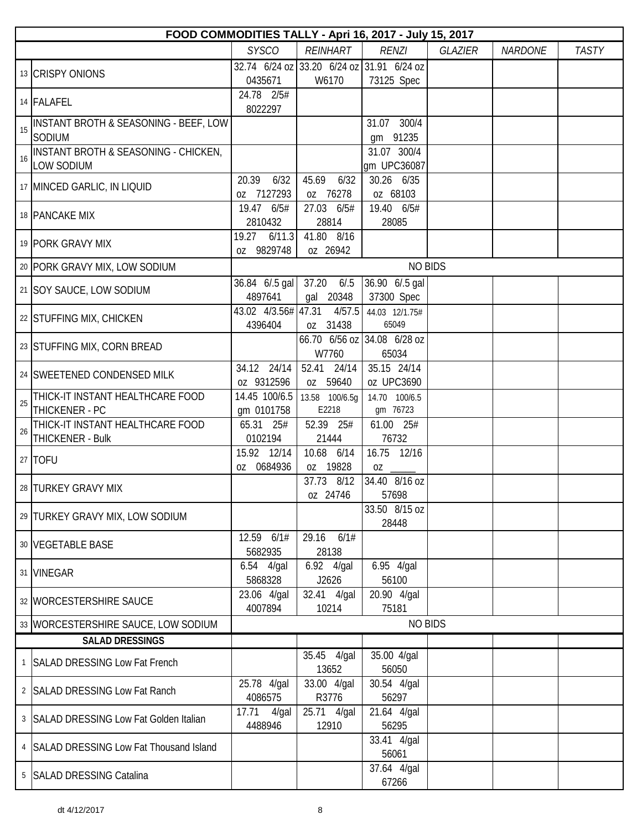|                | FOOD COMMODITIES TALLY - Apri 16, 2017 - July 15, 2017               |                             |                                        |                                                         |                |                |              |  |  |  |
|----------------|----------------------------------------------------------------------|-----------------------------|----------------------------------------|---------------------------------------------------------|----------------|----------------|--------------|--|--|--|
|                |                                                                      | <b>SYSCO</b>                | <b>REINHART</b>                        | <b>RENZI</b>                                            | <b>GLAZIER</b> | <b>NARDONE</b> | <b>TASTY</b> |  |  |  |
|                | 13 CRISPY ONIONS                                                     | 0435671                     | W6170                                  | 32.74 6/24 oz 33.20 6/24 oz 31.91 6/24 oz<br>73125 Spec |                |                |              |  |  |  |
|                | 14 FALAFEL                                                           | 24.78 2/5#<br>8022297       |                                        |                                                         |                |                |              |  |  |  |
| 15             | INSTANT BROTH & SEASONING - BEEF, LOW<br>SODIUM                      |                             |                                        | 31.07 300/4<br>gm 91235                                 |                |                |              |  |  |  |
| 16             | <b>INSTANT BROTH &amp; SEASONING - CHICKEN,</b><br><b>LOW SODIUM</b> |                             |                                        | 31.07 300/4<br>qm UPC36087                              |                |                |              |  |  |  |
|                | 17 MINCED GARLIC, IN LIQUID                                          | 20.39<br>6/32<br>oz 7127293 | 45.69<br>6/32<br>oz 76278              | 30.26 6/35<br>oz 68103                                  |                |                |              |  |  |  |
|                | 18 PANCAKE MIX                                                       | 19.47 6/5#<br>2810432       | 27.03 6/5#<br>28814                    | 19.40 6/5#<br>28085                                     |                |                |              |  |  |  |
|                | 19 PORK GRAVY MIX                                                    | 19.27 6/11.3<br>oz 9829748  | 41.80 8/16<br>oz 26942                 |                                                         |                |                |              |  |  |  |
|                | 20 PORK GRAVY MIX, LOW SODIUM                                        |                             |                                        | <b>NO BIDS</b>                                          |                |                |              |  |  |  |
|                | 21 SOY SAUCE, LOW SODIUM                                             | 36.84 6/.5 gal<br>4897641   | 37.20<br>6/0.5<br>gal 20348            | 36.90 6/.5 gal<br>37300 Spec                            |                |                |              |  |  |  |
|                | 22 STUFFING MIX, CHICKEN                                             | 4396404                     | 43.02 4/3.56# 47.31 4/57.5<br>oz 31438 | 44.03 12/1.75#<br>65049                                 |                |                |              |  |  |  |
|                | 23 STUFFING MIX, CORN BREAD                                          |                             | W7760                                  | 66.70 6/56 oz 34.08 6/28 oz<br>65034                    |                |                |              |  |  |  |
|                | 24 SWEETENED CONDENSED MILK                                          | 34.12 24/14<br>oz 9312596   | 52.41 24/14<br>oz 59640                | 35.15 24/14<br>oz UPC3690                               |                |                |              |  |  |  |
| 25             | THICK-IT INSTANT HEALTHCARE FOOD<br>THICKENER - PC                   | 14.45 100/6.5<br>gm 0101758 | 13.58 100/6.5g<br>E2218                | 14.70 100/6.5<br>gm 76723                               |                |                |              |  |  |  |
| 26             | THICK-IT INSTANT HEALTHCARE FOOD<br>THICKENER - Bulk                 | 65.31 25#<br>0102194        | 52.39 25#<br>21444                     | 61.00 25#<br>76732                                      |                |                |              |  |  |  |
|                | 27 TOFU                                                              | 15.92 12/14<br>oz 0684936   | 10.68 6/14<br>oz 19828                 | 16.75 12/16<br>$0Z$ <sub>-</sub>                        |                |                |              |  |  |  |
|                | 28 TURKEY GRAVY MIX                                                  |                             | 37.73 8/12<br>oz 24746                 | 34.40 8/16 oz<br>57698                                  |                |                |              |  |  |  |
|                | 29 TURKEY GRAVY MIX, LOW SODIUM                                      |                             |                                        | 33.50 8/15 oz<br>28448                                  |                |                |              |  |  |  |
|                | 30 VEGETABLE BASE                                                    | 12.59 6/1#<br>5682935       | 29.16<br>6/1#<br>28138                 |                                                         |                |                |              |  |  |  |
|                | 31 VINEGAR                                                           | 6.54 4/gal<br>5868328       | 6.92 4/gal<br>J2626                    | 6.95 4/gal<br>56100                                     |                |                |              |  |  |  |
|                | 32 WORCESTERSHIRE SAUCE                                              | 23.06 4/gal<br>4007894      | 32.41 4/gal<br>10214                   | 20.90 4/gal<br>75181                                    |                |                |              |  |  |  |
|                | 33 WORCESTERSHIRE SAUCE, LOW SODIUM                                  |                             |                                        | <b>NO BIDS</b>                                          |                |                |              |  |  |  |
|                | <b>SALAD DRESSINGS</b>                                               |                             |                                        |                                                         |                |                |              |  |  |  |
| $\mathbf{1}$   | <b>SALAD DRESSING Low Fat French</b>                                 |                             | 35.45 4/gal<br>13652                   | 35.00 4/gal<br>56050                                    |                |                |              |  |  |  |
| $\overline{2}$ | <b>SALAD DRESSING Low Fat Ranch</b>                                  | 25.78 4/gal<br>4086575      | 33.00 4/gal<br>R3776                   | 30.54 4/gal<br>56297                                    |                |                |              |  |  |  |
| 3 <sup>7</sup> | <b>SALAD DRESSING Low Fat Golden Italian</b>                         | 17.71<br>4/gal<br>4488946   | 25.71 4/gal<br>12910                   | 21.64 4/gal<br>56295                                    |                |                |              |  |  |  |
|                | 4 SALAD DRESSING Low Fat Thousand Island                             |                             |                                        | 33.41 4/gal<br>56061                                    |                |                |              |  |  |  |
| 5              | <b>SALAD DRESSING Catalina</b>                                       |                             |                                        | 37.64 4/gal<br>67266                                    |                |                |              |  |  |  |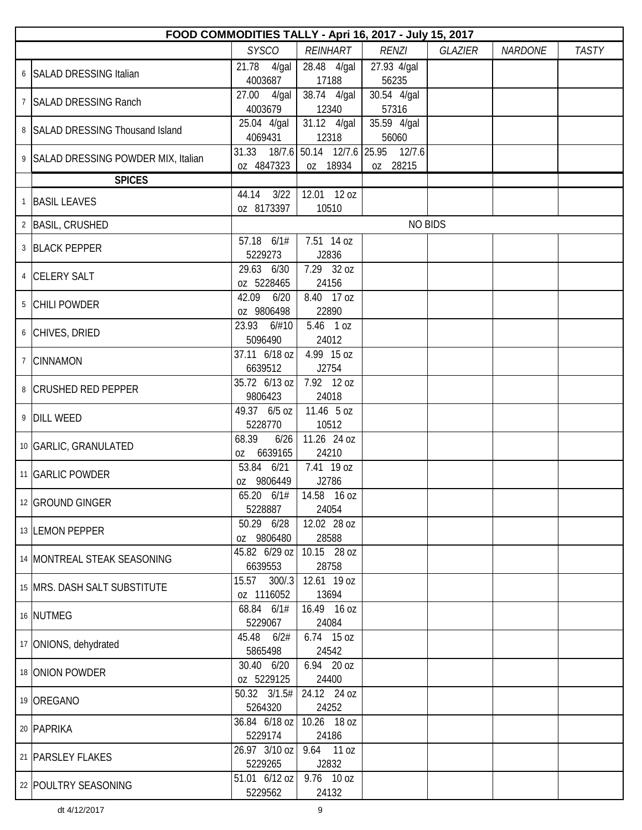| FOOD COMMODITIES TALLY - Apri 16, 2017 - July 15, 2017 |                                |                      |                                                    |                |                |              |  |  |  |
|--------------------------------------------------------|--------------------------------|----------------------|----------------------------------------------------|----------------|----------------|--------------|--|--|--|
|                                                        | <b>SYSCO</b>                   | <b>REINHART</b>      | <b>RENZI</b>                                       | <b>GLAZIER</b> | <b>NARDONE</b> | <b>TASTY</b> |  |  |  |
| 6 SALAD DRESSING Italian                               | 21.78 4/gal<br>4003687         | 28.48 4/gal<br>17188 | 27.93 4/gal<br>56235                               |                |                |              |  |  |  |
| 7   SALAD DRESSING Ranch                               | 27.00 4/gal<br>4003679         | 38.74 4/gal<br>12340 | 30.54 4/gal<br>57316                               |                |                |              |  |  |  |
| 8 SALAD DRESSING Thousand Island                       | 25.04 4/gal<br>4069431         | 31.12 4/gal<br>12318 | 35.59 4/gal<br>56060                               |                |                |              |  |  |  |
| 9 SALAD DRESSING POWDER MIX, Italian                   | oz 4847323                     | oz 18934             | 31.33 18/7.6 50.14 12/7.6 25.95 12/7.6<br>oz 28215 |                |                |              |  |  |  |
| <b>SPICES</b>                                          |                                |                      |                                                    |                |                |              |  |  |  |
| 1 BASIL LEAVES                                         | 44.14 3/22<br>oz 8173397       | 12.01 12 oz<br>10510 |                                                    |                |                |              |  |  |  |
| 2 BASIL, CRUSHED                                       |                                |                      | <b>NO BIDS</b>                                     |                |                |              |  |  |  |
| 3 BLACK PEPPER                                         | 57.18 6/1#<br>5229273          | 7.51 14 oz<br>J2836  |                                                    |                |                |              |  |  |  |
| 4 CELERY SALT                                          | 29.63 6/30<br>oz 5228465       | 7.29 32 oz<br>24156  |                                                    |                |                |              |  |  |  |
| 5 CHILI POWDER                                         | 42.09 6/20<br>oz 9806498       | 8.40 17 oz<br>22890  |                                                    |                |                |              |  |  |  |
| 6 CHIVES, DRIED                                        | 23.93<br>6/#10<br>5096490      | 5.46 1 oz<br>24012   |                                                    |                |                |              |  |  |  |
| 7 CINNAMON                                             | 37.11 6/18 oz<br>6639512       | 4.99 15 oz<br>J2754  |                                                    |                |                |              |  |  |  |
| 8 CRUSHED RED PEPPER                                   | 35.72 6/13 oz<br>9806423       | 7.92 12 oz<br>24018  |                                                    |                |                |              |  |  |  |
| 9 DILL WEED                                            | 49.37 6/5 oz<br>5228770        | 11.46 5 oz<br>10512  |                                                    |                |                |              |  |  |  |
| 10 GARLIC, GRANULATED                                  | 68.39<br>6/26<br>6639165<br>0Z | 11.26 24 oz<br>24210 |                                                    |                |                |              |  |  |  |
| 11   GARLIC POWDER                                     | 53.84 6/21<br>oz 9806449       | 7.41 19 oz<br>J2786  |                                                    |                |                |              |  |  |  |
| 12 GROUND GINGER                                       | 65.20 6/1#<br>5228887          | 14.58 16 oz<br>24054 |                                                    |                |                |              |  |  |  |
| 13 LEMON PEPPER                                        | 50.29 6/28<br>oz 9806480       | 12.02 28 oz<br>28588 |                                                    |                |                |              |  |  |  |
| 14 MONTREAL STEAK SEASONING                            | 45.82 6/29 oz<br>6639553       | 10.15 28 oz<br>28758 |                                                    |                |                |              |  |  |  |
| 15 MRS. DASH SALT SUBSTITUTE                           | 15.57 300/.3<br>oz 1116052     | 12.61 19 oz<br>13694 |                                                    |                |                |              |  |  |  |
| 16 NUTMEG                                              | 68.84 6/1#<br>5229067          | 16.49 16 oz<br>24084 |                                                    |                |                |              |  |  |  |
| 17 ONIONS, dehydrated                                  | 45.48 6/2#<br>5865498          | 6.74 15 oz<br>24542  |                                                    |                |                |              |  |  |  |
| 18 ONION POWDER                                        | 30.40 6/20<br>oz 5229125       | 6.94 20 oz<br>24400  |                                                    |                |                |              |  |  |  |
| 19 OREGANO                                             | 50.32 3/1.5#<br>5264320        | 24.12 24 oz<br>24252 |                                                    |                |                |              |  |  |  |
| 20 PAPRIKA                                             | 36.84 6/18 oz<br>5229174       | 10.26 18 oz<br>24186 |                                                    |                |                |              |  |  |  |
| 21   PARSLEY FLAKES                                    | 26.97 3/10 oz<br>5229265       | 9.64 11 oz<br>J2832  |                                                    |                |                |              |  |  |  |
| 22   POULTRY SEASONING                                 | 51.01 6/12 oz<br>5229562       | 9.76 10 oz<br>24132  |                                                    |                |                |              |  |  |  |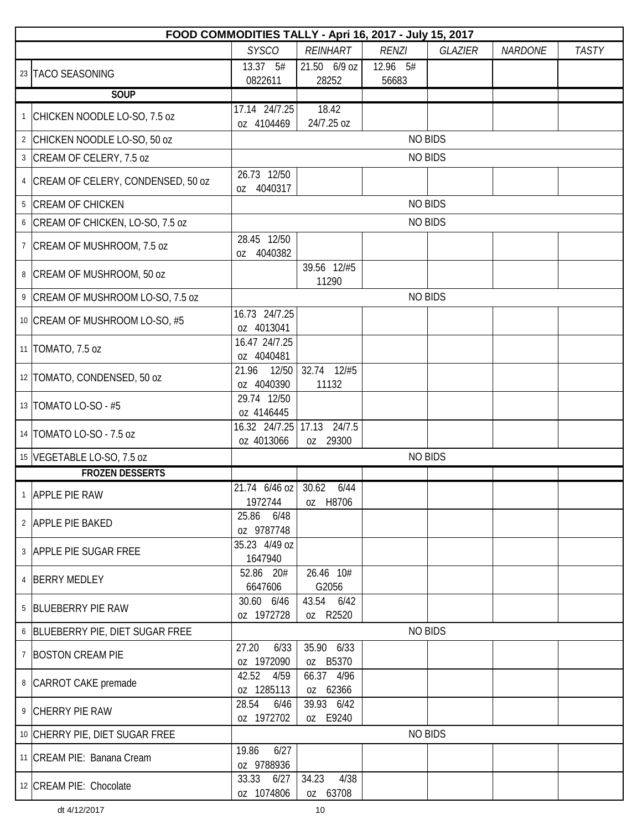|   | FOOD COMMODITIES TALLY - Apri 16, 2017 - July 15, 2017 |                                |                             |                   |                |                |              |  |  |  |  |  |
|---|--------------------------------------------------------|--------------------------------|-----------------------------|-------------------|----------------|----------------|--------------|--|--|--|--|--|
|   |                                                        | <b>SYSCO</b>                   | <b>REINHART</b>             | <b>RENZI</b>      | GLAZIER        | <b>NARDONE</b> | <b>TASTY</b> |  |  |  |  |  |
|   | 23 TACO SEASONING                                      | 13.37 5#<br>0822611            | 21.50 6/9 oz<br>28252       | 12.96 5#<br>56683 |                |                |              |  |  |  |  |  |
|   | <b>SOUP</b>                                            |                                |                             |                   |                |                |              |  |  |  |  |  |
|   | <sup>1</sup> CHICKEN NOODLE LO-SO, 7.5 oz              | 17.14 24/7.25<br>oz 4104469    | 18.42<br>24/7.25 oz         |                   |                |                |              |  |  |  |  |  |
|   | 2 CHICKEN NOODLE LO-SO, 50 oz                          |                                |                             |                   | <b>NO BIDS</b> |                |              |  |  |  |  |  |
|   | 3 CREAM OF CELERY, 7.5 oz                              |                                |                             |                   | <b>NO BIDS</b> |                |              |  |  |  |  |  |
| 4 | CREAM OF CELERY, CONDENSED, 50 oz                      | 26.73 12/50<br>4040317<br>0Z   |                             |                   |                |                |              |  |  |  |  |  |
| 5 | <b>CREAM OF CHICKEN</b>                                |                                |                             |                   | <b>NO BIDS</b> |                |              |  |  |  |  |  |
| 6 | CREAM OF CHICKEN, LO-SO, 7.5 oz                        |                                |                             | <b>NO BIDS</b>    |                |                |              |  |  |  |  |  |
| 7 | CREAM OF MUSHROOM, 7.5 oz                              | 28.45 12/50<br>4040382<br>0Z   |                             |                   |                |                |              |  |  |  |  |  |
|   | 8 CREAM OF MUSHROOM, 50 oz                             |                                | 39.56 12/#5<br>11290        |                   |                |                |              |  |  |  |  |  |
|   | 9 CREAM OF MUSHROOM LO-SO, 7.5 oz                      |                                |                             |                   | <b>NO BIDS</b> |                |              |  |  |  |  |  |
|   | 10 CREAM OF MUSHROOM LO-SO, #5                         | 16.73 24/7.25<br>oz 4013041    |                             |                   |                |                |              |  |  |  |  |  |
|   | 11   TOMATO, 7.5 oz                                    | 16.47 24/7.25<br>oz 4040481    |                             |                   |                |                |              |  |  |  |  |  |
|   | 12 TOMATO, CONDENSED, 50 oz                            | 12/50<br>21.96<br>oz 4040390   | 32.74 12/#5<br>11132        |                   |                |                |              |  |  |  |  |  |
|   | 13   TOMATO LO-SO - #5                                 | 29.74 12/50<br>oz 4146445      |                             |                   |                |                |              |  |  |  |  |  |
|   | 14   TOMATO LO-SO - 7.5 oz                             | 16.32 24/7.25<br>oz 4013066    | 17.13<br>24/7.5<br>0Z 29300 |                   |                |                |              |  |  |  |  |  |
|   | 15 VEGETABLE LO-SO, 7.5 oz                             |                                |                             |                   | <b>NO BIDS</b> |                |              |  |  |  |  |  |
|   | <b>FROZEN DESSERTS</b>                                 |                                |                             |                   |                |                |              |  |  |  |  |  |
|   | APPLE PIE RAW                                          | 21.74 6/46 oz 30.62<br>1972744 | 6/44<br>oz H8706            |                   |                |                |              |  |  |  |  |  |
|   | 2 APPLE PIE BAKED                                      | 6/48<br>25.86<br>oz 9787748    |                             |                   |                |                |              |  |  |  |  |  |
|   | 3 APPLE PIE SUGAR FREE                                 | 35.23 4/49 oz<br>1647940       |                             |                   |                |                |              |  |  |  |  |  |
|   | 4 BERRY MEDLEY                                         | 52.86 20#<br>6647606           | 26.46 10#<br>G2056          |                   |                |                |              |  |  |  |  |  |
|   | 5 BLUEBERRY PIE RAW                                    | 30.60 6/46<br>oz 1972728       | 43.54 6/42<br>0Z R2520      |                   |                |                |              |  |  |  |  |  |
|   | 6 BLUEBERRY PIE, DIET SUGAR FREE                       |                                |                             |                   | <b>NO BIDS</b> |                |              |  |  |  |  |  |
|   | 7 BOSTON CREAM PIE                                     | 27.20<br>6/33<br>oz 1972090    | 35.90 6/33<br>oz B5370      |                   |                |                |              |  |  |  |  |  |
|   | 8 CARROT CAKE premade                                  | 42.52<br>4/59<br>oz 1285113    | 66.37 4/96<br>oz 62366      |                   |                |                |              |  |  |  |  |  |
|   | 9 CHERRY PIE RAW                                       | 28.54<br>6/46<br>oz 1972702    | 39.93 6/42<br>oz E9240      |                   |                |                |              |  |  |  |  |  |
|   | 10 CHERRY PIE, DIET SUGAR FREE                         |                                |                             | <b>NO BIDS</b>    |                |                |              |  |  |  |  |  |
|   | 11 CREAM PIE: Banana Cream                             | 6/27<br>19.86<br>oz 9788936    |                             |                   |                |                |              |  |  |  |  |  |
|   | 12 CREAM PIE: Chocolate                                | 33.33 6/27<br>oz 1074806       | 4/38<br>34.23<br>oz 63708   |                   |                |                |              |  |  |  |  |  |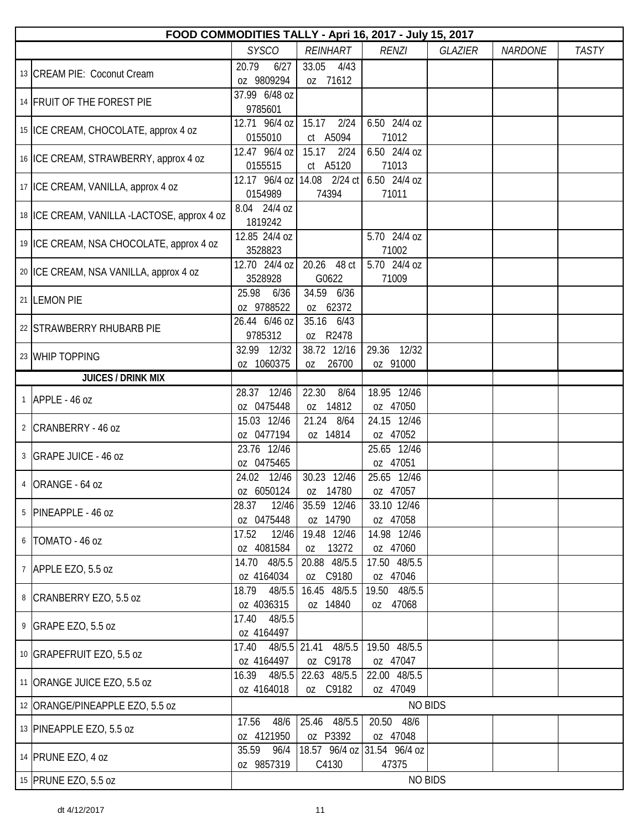| <b>SYSCO</b><br><b>RENZI</b><br><b>REINHART</b><br><b>GLAZIER</b><br><b>NARDONE</b><br>33.05<br>20.79<br>4/43<br>6/27<br>13 CREAM PIE: Coconut Cream<br>oz 9809294<br>oz 71612<br>37.99 6/48 oz<br>14 FRUIT OF THE FOREST PIE<br>9785601<br>12.71 96/4 oz<br>2/24<br>6.50 24/4 oz<br>15.17<br>15 ICE CREAM, CHOCOLATE, approx 4 oz<br>0155010<br>ct A5094<br>71012<br>12.47 96/4 oz<br>15.17<br>2/24<br>6.50 24/4 oz<br>16 ICE CREAM, STRAWBERRY, approx 4 oz<br>71013<br>0155515<br>ct A5120<br>12.17 96/4 oz   14.08 2/24 ct  <br>6.50 24/4 oz<br>17   ICE CREAM, VANILLA, approx 4 oz<br>0154989<br>74394<br>71011<br>8.04 24/4 oz<br>18   ICE CREAM, VANILLA -LACTOSE, approx 4 oz<br>1819242<br>5.70 24/4 oz<br>12.85 24/4 oz<br>19   ICE CREAM, NSA CHOCOLATE, approx 4 oz<br>3528823<br>71002<br>12.70 24/4 oz<br>20.26 48 ct<br>5.70 24/4 oz<br>20 ICE CREAM, NSA VANILLA, approx 4 oz<br>G0622<br>71009<br>3528928<br>34.59 6/36<br>25.98<br>6/36<br>21 LEMON PIE<br>oz 9788522<br>oz 62372<br>35.16 6/43<br>26.44 6/46 oz<br>22 STRAWBERRY RHUBARB PIE<br>9785312<br>oz R2478<br>38.72 12/16<br>29.36 12/32<br>32.99 12/32<br>23 WHIP TOPPING<br>oz 1060375<br>26700<br>oz 91000<br>OZ<br><b>JUICES / DRINK MIX</b><br>22.30<br>18.95 12/46<br>28.37 12/46<br>8/64<br>$1$ APPLE - 46 oz<br>oz 0475448<br>oz 14812<br>oz 47050<br>24.15 12/46<br>15.03 12/46<br>21.24 8/64<br>2 CRANBERRY - 46 oz<br>oz 0477194<br>oz 14814<br>oz 47052<br>25.65 12/46<br>23.76 12/46<br>3 GRAPE JUICE - 46 oz<br>oz 0475465<br>oz 47051<br>30.23 12/46<br>24.02 12/46<br>25.65 12/46<br>4 ORANGE - 64 oz<br>oz 6050124<br>oz 14780<br>oz 47057<br>12/46<br>35.59 12/46<br>33.10 12/46<br>28.37<br>5 PINEAPPLE - 46 oz<br>oz 0475448<br>oz 14790<br>oz 47058<br>17.52<br>12/46<br>19.48 12/46<br>14.98 12/46<br>6   TOMATO - 46 oz<br>oz 4081584<br>13272<br>oz 47060<br>0Z<br>17.50 48/5.5 | FOOD COMMODITIES TALLY - Apri 16, 2017 - July 15, 2017 |              |  |  |  |  |  |  |  |  |
|--------------------------------------------------------------------------------------------------------------------------------------------------------------------------------------------------------------------------------------------------------------------------------------------------------------------------------------------------------------------------------------------------------------------------------------------------------------------------------------------------------------------------------------------------------------------------------------------------------------------------------------------------------------------------------------------------------------------------------------------------------------------------------------------------------------------------------------------------------------------------------------------------------------------------------------------------------------------------------------------------------------------------------------------------------------------------------------------------------------------------------------------------------------------------------------------------------------------------------------------------------------------------------------------------------------------------------------------------------------------------------------------------------------------------------------------------------------------------------------------------------------------------------------------------------------------------------------------------------------------------------------------------------------------------------------------------------------------------------------------------------------------------------------------------------------------------------------------------------------------------------------|--------------------------------------------------------|--------------|--|--|--|--|--|--|--|--|
|                                                                                                                                                                                                                                                                                                                                                                                                                                                                                                                                                                                                                                                                                                                                                                                                                                                                                                                                                                                                                                                                                                                                                                                                                                                                                                                                                                                                                                                                                                                                                                                                                                                                                                                                                                                                                                                                                      |                                                        | <b>TASTY</b> |  |  |  |  |  |  |  |  |
|                                                                                                                                                                                                                                                                                                                                                                                                                                                                                                                                                                                                                                                                                                                                                                                                                                                                                                                                                                                                                                                                                                                                                                                                                                                                                                                                                                                                                                                                                                                                                                                                                                                                                                                                                                                                                                                                                      |                                                        |              |  |  |  |  |  |  |  |  |
|                                                                                                                                                                                                                                                                                                                                                                                                                                                                                                                                                                                                                                                                                                                                                                                                                                                                                                                                                                                                                                                                                                                                                                                                                                                                                                                                                                                                                                                                                                                                                                                                                                                                                                                                                                                                                                                                                      |                                                        |              |  |  |  |  |  |  |  |  |
|                                                                                                                                                                                                                                                                                                                                                                                                                                                                                                                                                                                                                                                                                                                                                                                                                                                                                                                                                                                                                                                                                                                                                                                                                                                                                                                                                                                                                                                                                                                                                                                                                                                                                                                                                                                                                                                                                      |                                                        |              |  |  |  |  |  |  |  |  |
|                                                                                                                                                                                                                                                                                                                                                                                                                                                                                                                                                                                                                                                                                                                                                                                                                                                                                                                                                                                                                                                                                                                                                                                                                                                                                                                                                                                                                                                                                                                                                                                                                                                                                                                                                                                                                                                                                      |                                                        |              |  |  |  |  |  |  |  |  |
|                                                                                                                                                                                                                                                                                                                                                                                                                                                                                                                                                                                                                                                                                                                                                                                                                                                                                                                                                                                                                                                                                                                                                                                                                                                                                                                                                                                                                                                                                                                                                                                                                                                                                                                                                                                                                                                                                      |                                                        |              |  |  |  |  |  |  |  |  |
|                                                                                                                                                                                                                                                                                                                                                                                                                                                                                                                                                                                                                                                                                                                                                                                                                                                                                                                                                                                                                                                                                                                                                                                                                                                                                                                                                                                                                                                                                                                                                                                                                                                                                                                                                                                                                                                                                      |                                                        |              |  |  |  |  |  |  |  |  |
|                                                                                                                                                                                                                                                                                                                                                                                                                                                                                                                                                                                                                                                                                                                                                                                                                                                                                                                                                                                                                                                                                                                                                                                                                                                                                                                                                                                                                                                                                                                                                                                                                                                                                                                                                                                                                                                                                      |                                                        |              |  |  |  |  |  |  |  |  |
|                                                                                                                                                                                                                                                                                                                                                                                                                                                                                                                                                                                                                                                                                                                                                                                                                                                                                                                                                                                                                                                                                                                                                                                                                                                                                                                                                                                                                                                                                                                                                                                                                                                                                                                                                                                                                                                                                      |                                                        |              |  |  |  |  |  |  |  |  |
|                                                                                                                                                                                                                                                                                                                                                                                                                                                                                                                                                                                                                                                                                                                                                                                                                                                                                                                                                                                                                                                                                                                                                                                                                                                                                                                                                                                                                                                                                                                                                                                                                                                                                                                                                                                                                                                                                      |                                                        |              |  |  |  |  |  |  |  |  |
|                                                                                                                                                                                                                                                                                                                                                                                                                                                                                                                                                                                                                                                                                                                                                                                                                                                                                                                                                                                                                                                                                                                                                                                                                                                                                                                                                                                                                                                                                                                                                                                                                                                                                                                                                                                                                                                                                      |                                                        |              |  |  |  |  |  |  |  |  |
|                                                                                                                                                                                                                                                                                                                                                                                                                                                                                                                                                                                                                                                                                                                                                                                                                                                                                                                                                                                                                                                                                                                                                                                                                                                                                                                                                                                                                                                                                                                                                                                                                                                                                                                                                                                                                                                                                      |                                                        |              |  |  |  |  |  |  |  |  |
|                                                                                                                                                                                                                                                                                                                                                                                                                                                                                                                                                                                                                                                                                                                                                                                                                                                                                                                                                                                                                                                                                                                                                                                                                                                                                                                                                                                                                                                                                                                                                                                                                                                                                                                                                                                                                                                                                      |                                                        |              |  |  |  |  |  |  |  |  |
|                                                                                                                                                                                                                                                                                                                                                                                                                                                                                                                                                                                                                                                                                                                                                                                                                                                                                                                                                                                                                                                                                                                                                                                                                                                                                                                                                                                                                                                                                                                                                                                                                                                                                                                                                                                                                                                                                      |                                                        |              |  |  |  |  |  |  |  |  |
|                                                                                                                                                                                                                                                                                                                                                                                                                                                                                                                                                                                                                                                                                                                                                                                                                                                                                                                                                                                                                                                                                                                                                                                                                                                                                                                                                                                                                                                                                                                                                                                                                                                                                                                                                                                                                                                                                      |                                                        |              |  |  |  |  |  |  |  |  |
|                                                                                                                                                                                                                                                                                                                                                                                                                                                                                                                                                                                                                                                                                                                                                                                                                                                                                                                                                                                                                                                                                                                                                                                                                                                                                                                                                                                                                                                                                                                                                                                                                                                                                                                                                                                                                                                                                      |                                                        |              |  |  |  |  |  |  |  |  |
|                                                                                                                                                                                                                                                                                                                                                                                                                                                                                                                                                                                                                                                                                                                                                                                                                                                                                                                                                                                                                                                                                                                                                                                                                                                                                                                                                                                                                                                                                                                                                                                                                                                                                                                                                                                                                                                                                      |                                                        |              |  |  |  |  |  |  |  |  |
|                                                                                                                                                                                                                                                                                                                                                                                                                                                                                                                                                                                                                                                                                                                                                                                                                                                                                                                                                                                                                                                                                                                                                                                                                                                                                                                                                                                                                                                                                                                                                                                                                                                                                                                                                                                                                                                                                      |                                                        |              |  |  |  |  |  |  |  |  |
|                                                                                                                                                                                                                                                                                                                                                                                                                                                                                                                                                                                                                                                                                                                                                                                                                                                                                                                                                                                                                                                                                                                                                                                                                                                                                                                                                                                                                                                                                                                                                                                                                                                                                                                                                                                                                                                                                      |                                                        |              |  |  |  |  |  |  |  |  |
|                                                                                                                                                                                                                                                                                                                                                                                                                                                                                                                                                                                                                                                                                                                                                                                                                                                                                                                                                                                                                                                                                                                                                                                                                                                                                                                                                                                                                                                                                                                                                                                                                                                                                                                                                                                                                                                                                      |                                                        |              |  |  |  |  |  |  |  |  |
|                                                                                                                                                                                                                                                                                                                                                                                                                                                                                                                                                                                                                                                                                                                                                                                                                                                                                                                                                                                                                                                                                                                                                                                                                                                                                                                                                                                                                                                                                                                                                                                                                                                                                                                                                                                                                                                                                      |                                                        |              |  |  |  |  |  |  |  |  |
|                                                                                                                                                                                                                                                                                                                                                                                                                                                                                                                                                                                                                                                                                                                                                                                                                                                                                                                                                                                                                                                                                                                                                                                                                                                                                                                                                                                                                                                                                                                                                                                                                                                                                                                                                                                                                                                                                      |                                                        |              |  |  |  |  |  |  |  |  |
|                                                                                                                                                                                                                                                                                                                                                                                                                                                                                                                                                                                                                                                                                                                                                                                                                                                                                                                                                                                                                                                                                                                                                                                                                                                                                                                                                                                                                                                                                                                                                                                                                                                                                                                                                                                                                                                                                      |                                                        |              |  |  |  |  |  |  |  |  |
| 7 APPLE EZO, 5.5 oz<br>oz 4164034<br>oz C9180<br>oz 47046                                                                                                                                                                                                                                                                                                                                                                                                                                                                                                                                                                                                                                                                                                                                                                                                                                                                                                                                                                                                                                                                                                                                                                                                                                                                                                                                                                                                                                                                                                                                                                                                                                                                                                                                                                                                                            | 20.88 48/5.5<br>14.70 48/5.5                           |              |  |  |  |  |  |  |  |  |
| 16.45 48/5.5<br>19.50 48/5.5<br>18.79<br>48/5.5<br>8 CRANBERRY EZO, 5.5 oz<br>oz 4036315<br>oz 14840<br>oz 47068                                                                                                                                                                                                                                                                                                                                                                                                                                                                                                                                                                                                                                                                                                                                                                                                                                                                                                                                                                                                                                                                                                                                                                                                                                                                                                                                                                                                                                                                                                                                                                                                                                                                                                                                                                     |                                                        |              |  |  |  |  |  |  |  |  |
| 48/5.5<br>17.40<br>9 GRAPE EZO, 5.5 oz<br>oz 4164497                                                                                                                                                                                                                                                                                                                                                                                                                                                                                                                                                                                                                                                                                                                                                                                                                                                                                                                                                                                                                                                                                                                                                                                                                                                                                                                                                                                                                                                                                                                                                                                                                                                                                                                                                                                                                                 |                                                        |              |  |  |  |  |  |  |  |  |
| 48/5.5 21.41 48/5.5<br>19.50 48/5.5<br>17.40<br>10 GRAPEFRUIT EZO, 5.5 oz<br>oz 4164497<br>oz C9178<br>oz 47047                                                                                                                                                                                                                                                                                                                                                                                                                                                                                                                                                                                                                                                                                                                                                                                                                                                                                                                                                                                                                                                                                                                                                                                                                                                                                                                                                                                                                                                                                                                                                                                                                                                                                                                                                                      |                                                        |              |  |  |  |  |  |  |  |  |
| 22.63 48/5.5<br>22.00 48/5.5<br>16.39<br>48/5.5<br>11 ORANGE JUICE EZO, 5.5 oz<br>oz 4164018<br>oz C9182<br>oz 47049                                                                                                                                                                                                                                                                                                                                                                                                                                                                                                                                                                                                                                                                                                                                                                                                                                                                                                                                                                                                                                                                                                                                                                                                                                                                                                                                                                                                                                                                                                                                                                                                                                                                                                                                                                 |                                                        |              |  |  |  |  |  |  |  |  |
| <b>NO BIDS</b><br>12 ORANGE/PINEAPPLE EZO, 5.5 oz                                                                                                                                                                                                                                                                                                                                                                                                                                                                                                                                                                                                                                                                                                                                                                                                                                                                                                                                                                                                                                                                                                                                                                                                                                                                                                                                                                                                                                                                                                                                                                                                                                                                                                                                                                                                                                    |                                                        |              |  |  |  |  |  |  |  |  |
| 20.50 48/6<br>25.46 48/5.5<br>17.56<br>48/6<br>13 PINEAPPLE EZO, 5.5 oz<br>oz P3392<br>oz 4121950<br>oz 47048                                                                                                                                                                                                                                                                                                                                                                                                                                                                                                                                                                                                                                                                                                                                                                                                                                                                                                                                                                                                                                                                                                                                                                                                                                                                                                                                                                                                                                                                                                                                                                                                                                                                                                                                                                        |                                                        |              |  |  |  |  |  |  |  |  |
| 96/4<br>18.57 96/4 oz 31.54 96/4 oz<br>35.59<br>14 PRUNE EZO, 4 oz                                                                                                                                                                                                                                                                                                                                                                                                                                                                                                                                                                                                                                                                                                                                                                                                                                                                                                                                                                                                                                                                                                                                                                                                                                                                                                                                                                                                                                                                                                                                                                                                                                                                                                                                                                                                                   |                                                        |              |  |  |  |  |  |  |  |  |
| oz 9857319<br>C4130<br>47375<br><b>NO BIDS</b><br>15 PRUNE EZO, 5.5 oz                                                                                                                                                                                                                                                                                                                                                                                                                                                                                                                                                                                                                                                                                                                                                                                                                                                                                                                                                                                                                                                                                                                                                                                                                                                                                                                                                                                                                                                                                                                                                                                                                                                                                                                                                                                                               |                                                        |              |  |  |  |  |  |  |  |  |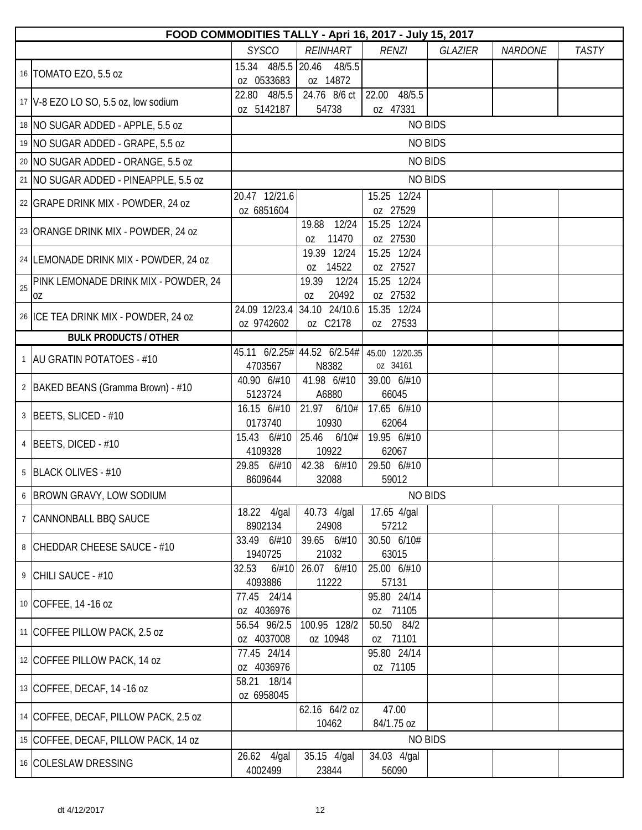|    | FOOD COMMODITIES TALLY - Apri 16, 2017 - July 15, 2017 |                             |                               |                             |                |                |              |  |  |  |
|----|--------------------------------------------------------|-----------------------------|-------------------------------|-----------------------------|----------------|----------------|--------------|--|--|--|
|    |                                                        | <b>SYSCO</b>                | <b>REINHART</b>               | <b>RENZI</b>                | <b>GLAZIER</b> | <b>NARDONE</b> | <b>TASTY</b> |  |  |  |
|    | 16   TOMATO EZO, 5.5 oz                                | 15.34 48/5.5 20.46          | 48/5.5                        |                             |                |                |              |  |  |  |
|    |                                                        | oz 0533683                  | oz 14872                      |                             |                |                |              |  |  |  |
|    | 17   V-8 EZO LO SO, 5.5 oz, low sodium                 | 22.80 48/5.5<br>oz 5142187  | 24.76 8/6 ct<br>54738         | 48/5.5<br>22.00<br>oz 47331 |                |                |              |  |  |  |
|    | 18 NO SUGAR ADDED - APPLE, 5.5 oz                      |                             |                               | <b>NO BIDS</b>              |                |                |              |  |  |  |
|    | 19 NO SUGAR ADDED - GRAPE, 5.5 oz                      |                             |                               | <b>NO BIDS</b>              |                |                |              |  |  |  |
|    | 20 NO SUGAR ADDED - ORANGE, 5.5 oz                     |                             |                               | <b>NO BIDS</b>              |                |                |              |  |  |  |
|    | 21   NO SUGAR ADDED - PINEAPPLE, 5.5 oz                |                             |                               | <b>NO BIDS</b>              |                |                |              |  |  |  |
|    | 22 GRAPE DRINK MIX - POWDER, 24 oz                     | 20.47 12/21.6<br>oz 6851604 |                               | 15.25 12/24<br>oz 27529     |                |                |              |  |  |  |
|    | 23 ORANGE DRINK MIX - POWDER, 24 oz                    |                             | 12/24<br>19.88<br>11470<br>0Z | 15.25 12/24<br>oz 27530     |                |                |              |  |  |  |
|    | 24 LEMONADE DRINK MIX - POWDER, 24 oz                  |                             | 19.39 12/24<br>14522<br>0Z    | 15.25 12/24<br>oz 27527     |                |                |              |  |  |  |
| 25 | PINK LEMONADE DRINK MIX - POWDER, 24<br>0Z             |                             | 19.39<br>12/24<br>20492<br>0Z | 15.25 12/24<br>oz 27532     |                |                |              |  |  |  |
|    |                                                        | 24.09 12/23.4               | 34.10 24/10.6                 | 15.35 12/24                 |                |                |              |  |  |  |
|    | 26 ICE TEA DRINK MIX - POWDER, 24 oz                   | oz 9742602                  | oz C2178                      | oz 27533                    |                |                |              |  |  |  |
|    | <b>BULK PRODUCTS / OTHER</b>                           |                             |                               |                             |                |                |              |  |  |  |
|    | 1   AU GRATIN POTATOES - #10                           |                             | 45.11 6/2.25# 44.52 6/2.54#   | 45.00 12/20.35              |                |                |              |  |  |  |
|    |                                                        | 4703567                     | N8382                         | oz 34161                    |                |                |              |  |  |  |
|    | 2   BAKED BEANS (Gramma Brown) - #10                   | 40.90 6/#10<br>5123724      | 41.98 6/#10<br>A6880          | 39.00 6/#10<br>66045        |                |                |              |  |  |  |
|    | 3 BEETS, SLICED - #10                                  | 16.15 6/#10<br>0173740      | 21.97 6/10#<br>10930          | 17.65 6/#10<br>62064        |                |                |              |  |  |  |
|    | 4 BEETS, DICED - #10                                   | 15.43 6/#10<br>4109328      | 25.46<br>6/10#<br>10922       | 19.95 6/#10<br>62067        |                |                |              |  |  |  |
|    | 5 BLACK OLIVES - #10                                   | 29.85 6/#10<br>8609644      | 42.38 6/#10<br>32088          | 29.50 6/#10<br>59012        |                |                |              |  |  |  |
|    | 6 BROWN GRAVY, LOW SODIUM                              |                             |                               | <b>NO BIDS</b>              |                |                |              |  |  |  |
|    |                                                        | 18.22 4/gal                 | 40.73 4/gal                   | 17.65 4/gal                 |                |                |              |  |  |  |
|    | 7 CANNONBALL BBQ SAUCE                                 | 8902134                     | 24908                         | 57212                       |                |                |              |  |  |  |
|    | 8 CHEDDAR CHEESE SAUCE - #10                           | 33.49 6/#10<br>1940725      | 39.65 6/#10<br>21032          | 30.50 6/10#<br>63015        |                |                |              |  |  |  |
|    |                                                        | 32.53<br>6/#10              | 26.07 6/#10                   | 25.00 6/#10                 |                |                |              |  |  |  |
|    | 9 CHILI SAUCE - #10                                    | 4093886                     | 11222                         | 57131                       |                |                |              |  |  |  |
|    | 10 COFFEE, 14 -16 oz                                   | 77.45 24/14<br>oz 4036976   |                               | 95.80 24/14<br>oz 71105     |                |                |              |  |  |  |
|    | 11 COFFEE PILLOW PACK, 2.5 oz                          | 56.54 96/2.5                | 100.95 128/2                  | 50.50 84/2                  |                |                |              |  |  |  |
|    |                                                        | oz 4037008                  | oz 10948                      | oz 71101                    |                |                |              |  |  |  |
|    | 12 COFFEE PILLOW PACK, 14 oz                           | 77.45 24/14<br>oz 4036976   |                               | 95.80 24/14<br>oz 71105     |                |                |              |  |  |  |
|    | 13 COFFEE, DECAF, 14 -16 oz                            | 58.21 18/14<br>oz 6958045   |                               |                             |                |                |              |  |  |  |
|    | 14 COFFEE, DECAF, PILLOW PACK, 2.5 oz                  |                             | 62.16 64/2 oz<br>10462        | 47.00<br>84/1.75 oz         |                |                |              |  |  |  |
|    | 15 COFFEE, DECAF, PILLOW PACK, 14 oz                   |                             |                               | <b>NO BIDS</b>              |                |                |              |  |  |  |
|    |                                                        | 26.62 4/gal                 | 35.15 4/gal                   | 34.03 4/gal                 |                |                |              |  |  |  |
|    | 16 COLESLAW DRESSING                                   | 4002499                     | 23844                         | 56090                       |                |                |              |  |  |  |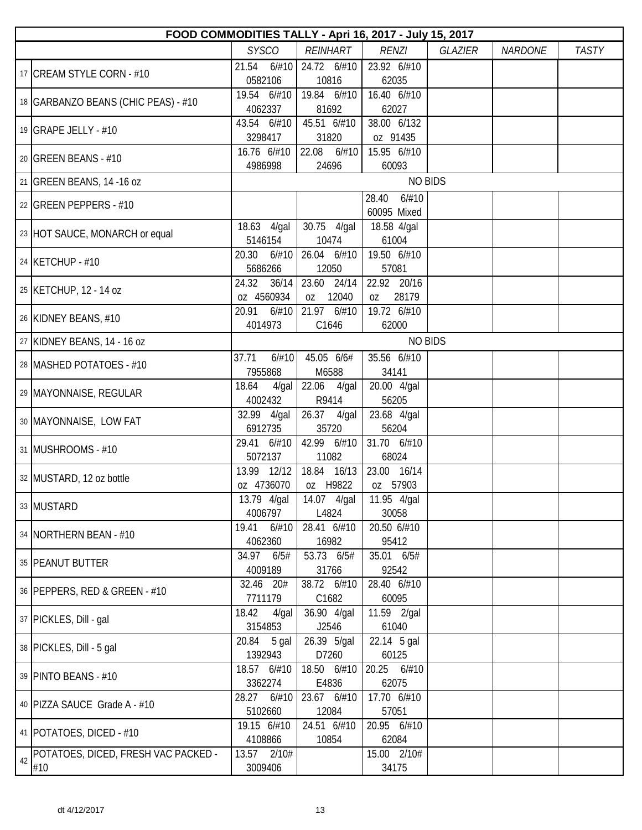|    | FOOD COMMODITIES TALLY - Apri 16, 2017 - July 15, 2017 |                                     |                            |                               |                |                |              |  |  |  |
|----|--------------------------------------------------------|-------------------------------------|----------------------------|-------------------------------|----------------|----------------|--------------|--|--|--|
|    |                                                        | <b>SYSCO</b>                        | REINHART                   | <b>RENZI</b>                  | <b>GLAZIER</b> | <b>NARDONE</b> | <b>TASTY</b> |  |  |  |
|    | 17 CREAM STYLE CORN - #10                              | 21.54<br>6/#10<br>0582106           | 24.72 6/#10<br>10816       | 23.92 6/#10<br>62035          |                |                |              |  |  |  |
|    | 18   GARBANZO BEANS (CHIC PEAS) - #10                  | 19.54 6/#10<br>4062337              | 19.84 6/#10<br>81692       | 16.40 6/#10<br>62027          |                |                |              |  |  |  |
|    | 19 GRAPE JELLY - $#10$                                 | 43.54 6/#10<br>3298417              | 45.51 6/#10<br>31820       | 38.00 6/132<br>oz 91435       |                |                |              |  |  |  |
|    | 20 GREEN BEANS - #10                                   | 16.76 6/#10<br>4986998              | 22.08<br>6/#10<br>24696    | 15.95 6/#10<br>60093          |                |                |              |  |  |  |
|    | 21 GREEN BEANS, 14 -16 oz                              |                                     |                            | <b>NO BIDS</b>                |                |                |              |  |  |  |
|    | 22 GREEN PEPPERS - $#10$                               |                                     |                            | 6/#10<br>28.40<br>60095 Mixed |                |                |              |  |  |  |
|    | 23 HOT SAUCE, MONARCH or equal                         | $\overline{18.63}$ 4/gal<br>5146154 | 30.75 4/gal<br>10474       | 18.58 4/gal<br>61004          |                |                |              |  |  |  |
|    | 24 KETCHUP - #10                                       | 20.30<br>6/#10<br>5686266           | 26.04 6/#10<br>12050       | 19.50 6/#10<br>57081          |                |                |              |  |  |  |
|    | 25 KETCHUP, 12 - 14 oz                                 | 24.32<br>36/14<br>oz 4560934        | 23.60 24/14<br>12040<br>0Z | 22.92 20/16<br>28179<br>0Z    |                |                |              |  |  |  |
|    | 26 KIDNEY BEANS, #10                                   | 20.91<br>6/#10<br>4014973           | 21.97 6/#10<br>C1646       | 19.72 6/#10<br>62000          |                |                |              |  |  |  |
|    | 27 KIDNEY BEANS, 14 - 16 oz                            |                                     |                            | <b>NO BIDS</b>                |                |                |              |  |  |  |
|    | 28 MASHED POTATOES - #10                               | 37.71<br>6/#10<br>7955868           | 45.05 6/6#<br>M6588        | 35.56 6/#10<br>34141          |                |                |              |  |  |  |
|    | 29   MAYONNAISE, REGULAR                               | 18.64<br>4/gal<br>4002432           | 22.06 4/gal<br>R9414       | 20.00 4/gal<br>56205          |                |                |              |  |  |  |
|    | 30   MAYONNAISE, LOW FAT                               | 4/gal<br>32.99<br>6912735           | 26.37<br>4/gal<br>35720    | 23.68 4/gal<br>56204          |                |                |              |  |  |  |
|    | 31 MUSHROOMS - #10                                     | 6/#10<br>29.41<br>5072137           | 42.99 6/#10<br>11082       | 31.70 6/#10<br>68024          |                |                |              |  |  |  |
|    | 32 MUSTARD, 12 oz bottle                               | 13.99 12/12<br>oz 4736070           | 18.84 16/13<br>oz H9822    | 23.00 16/14<br>oz 57903       |                |                |              |  |  |  |
|    | 33 MUSTARD                                             | 13.79 4/gal<br>4006797              | 14.07 4/gal<br>L4824       | 11.95 4/gal<br>30058          |                |                |              |  |  |  |
|    | 34   NORTHERN BEAN - #10                               | 6/#10<br>19.41<br>4062360           | 28.41 6/#10<br>16982       | 20.50 6/#10<br>95412          |                |                |              |  |  |  |
|    | 35 PEANUT BUTTER                                       | 34.97 6/5#<br>4009189               | 53.73 6/5#<br>31766        | 35.01 6/5#<br>92542           |                |                |              |  |  |  |
|    | 36   PEPPERS, RED & GREEN - #10                        | 32.46 20#<br>7711179                | 38.72 6/#10<br>C1682       | 28.40 6/#10<br>60095          |                |                |              |  |  |  |
|    | 37   PICKLES, Dill - gal                               | 18.42<br>$4$ /gal<br>3154853        | 36.90 4/gal<br>J2546       | 11.59 2/gal<br>61040          |                |                |              |  |  |  |
|    | 38   PICKLES, Dill - 5 gal                             | 20.84<br>5 gal<br>1392943           | 26.39 5/gal<br>D7260       | 22.14 5 gal<br>60125          |                |                |              |  |  |  |
|    | 39 PINTO BEANS - #10                                   | 18.57 6/#10<br>3362274              | 18.50 6/#10<br>E4836       | 20.25 6/#10<br>62075          |                |                |              |  |  |  |
|    | 40   PIZZA SAUCE Grade A - #10                         | 28.27<br>6/#10<br>5102660           | 23.67 6/#10<br>12084       | 17.70 6/#10<br>57051          |                |                |              |  |  |  |
|    | 41   POTATOES, DICED - #10                             | 19.15 6/#10<br>4108866              | 24.51 6/#10<br>10854       | 20.95 6/#10<br>62084          |                |                |              |  |  |  |
| 42 | POTATOES, DICED, FRESH VAC PACKED -<br>#10             | 13.57 2/10#<br>3009406              |                            | 15.00 2/10#<br>34175          |                |                |              |  |  |  |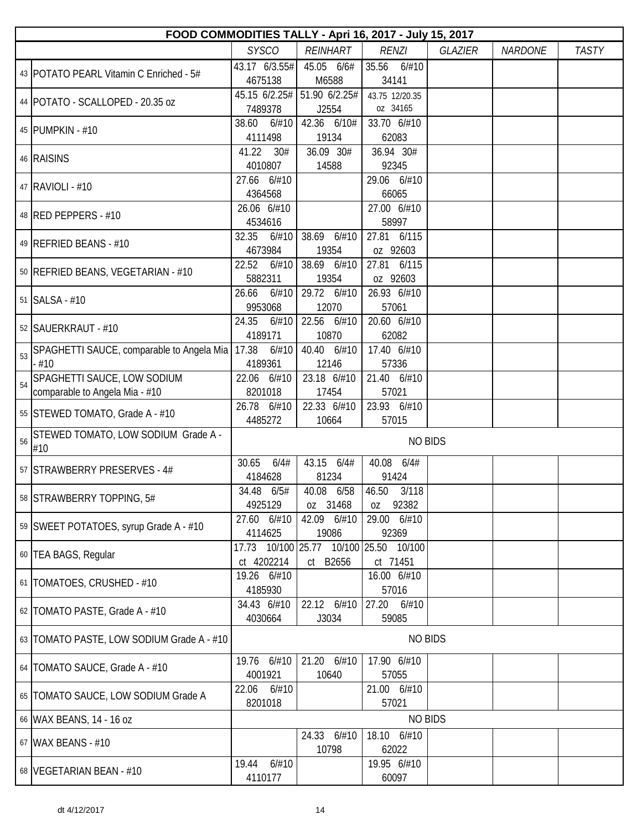|    | FOOD COMMODITIES TALLY - Apri 16, 2017 - July 15, 2017        |                                  |                                      |                                 |                |                |              |
|----|---------------------------------------------------------------|----------------------------------|--------------------------------------|---------------------------------|----------------|----------------|--------------|
|    |                                                               | <b>SYSCO</b>                     | <b>REINHART</b>                      | <b>RENZI</b>                    | <b>GLAZIER</b> | <b>NARDONE</b> | <b>TASTY</b> |
|    | 43   POTATO PEARL Vitamin C Enriched - 5#                     | 43.17 6/3.55#<br>4675138         | 45.05 6/6#<br>M6588                  | 35.56 6/#10<br>34141            |                |                |              |
|    | 44   POTATO - SCALLOPED - 20.35 oz                            | 7489378                          | 45.15 6/2.25# 51.90 6/2.25#<br>J2554 | 43.75 12/20.35<br>oz 34165      |                |                |              |
|    | 45   PUMPKIN - #10                                            | 38.60<br>6/#10<br>4111498        | 42.36 6/10#<br>19134                 | 33.70 6/#10<br>62083            |                |                |              |
|    | 46 RAISINS                                                    | 41.22<br>30#<br>4010807          | 36.09 30#<br>14588                   | 36.94 30#<br>92345              |                |                |              |
|    | 47 RAVIOLI - #10                                              | 27.66 6/#10<br>4364568           |                                      | 29.06 6/#10<br>66065            |                |                |              |
|    | 48 RED PEPPERS - #10                                          | 26.06 6/#10<br>4534616           |                                      | 27.00 6/#10<br>58997            |                |                |              |
|    | 49 REFRIED BEANS - #10                                        | 32.35<br>6/#10<br>4673984        | 38.69 6/#10<br>19354                 | 27.81 6/115<br>oz 92603         |                |                |              |
|    | 50   REFRIED BEANS, VEGETARIAN - #10                          | 22.52<br>6/#10<br>5882311        | 38.69 6/#10<br>19354                 | 27.81 6/115<br>oz 92603         |                |                |              |
|    | 51 SALSA - #10                                                | 26.66<br>6/#10<br>9953068        | 29.72 6/#10<br>12070                 | 26.93 6/#10<br>57061            |                |                |              |
|    | 52   SAUERKRAUT - #10                                         | 24.35<br>6/#10<br>4189171        | 22.56 6/#10<br>10870                 | 20.60 6/#10<br>62082            |                |                |              |
| 53 | SPAGHETTI SAUCE, comparable to Angela Mia<br>$-#10$           | 17.38<br>4189361                 | $6/#10$ 40.40 $6/#10$<br>12146       | 17.40 6/#10<br>57336            |                |                |              |
| 54 | SPAGHETTI SAUCE, LOW SODIUM<br>comparable to Angela Mia - #10 | 22.06 6/#10<br>8201018           | 23.18 6/#10<br>17454                 | 21.40 6/#10<br>57021            |                |                |              |
|    | 55 STEWED TOMATO, Grade A - #10                               | 26.78 6/#10<br>4485272           | 22.33 6/#10<br>10664                 | 23.93 6/#10<br>57015            |                |                |              |
| 56 | STEWED TOMATO, LOW SODIUM Grade A -<br>#10                    |                                  |                                      | <b>NO BIDS</b>                  |                |                |              |
|    | 57 STRAWBERRY PRESERVES - 4#                                  | 30.65<br>6/4#<br>4184628         | 43.15<br>6/4#<br>81234               | 40.08 6/4#<br>91424             |                |                |              |
|    | 58 STRAWBERRY TOPPING, 5#                                     | 34.48 6/5#<br>4925129            | 40.08 6/58<br>oz 31468               | 46.50 3/118<br>92382<br>0Z      |                |                |              |
|    | 59 SWEET POTATOES, syrup Grade A - #10                        | 27.60 6/#10<br>4114625           | 42.09 6/#10<br>19086                 | 29.00 6/#10<br>92369            |                |                |              |
|    | 60 TEA BAGS, Regular                                          | 17.73 10/100 25.77<br>ct 4202214 | ct B2656                             | 10/100 25.50 10/100<br>ct 71451 |                |                |              |
|    | 61   TOMATOES, CRUSHED - #10                                  | 19.26 6/#10<br>4185930           |                                      | 16.00 6/#10<br>57016            |                |                |              |
|    | 62   TOMATO PASTE, Grade A - #10                              | 34.43 6/#10<br>4030664           | 22.12 6/#10<br>J3034                 | 27.20 6/#10<br>59085            |                |                |              |
|    | 63   TOMATO PASTE, LOW SODIUM Grade A - #10                   |                                  |                                      | <b>NO BIDS</b>                  |                |                |              |
|    | 64   TOMATO SAUCE, Grade A - #10                              | 19.76 6/#10<br>4001921           | 21.20 6/#10<br>10640                 | 17.90 6/#10<br>57055            |                |                |              |
|    | 65   TOMATO SAUCE, LOW SODIUM Grade A                         | 22.06<br>6/#10<br>8201018        |                                      | 21.00 6/#10<br>57021            |                |                |              |
|    | 66 WAX BEANS, 14 - 16 oz                                      |                                  |                                      | <b>NO BIDS</b>                  |                |                |              |
|    | 67 WAX BEANS - #10                                            |                                  | 24.33 6/#10<br>10798                 | 18.10 6/#10<br>62022            |                |                |              |
|    | 68   VEGETARIAN BEAN - #10                                    | 6/#10<br>19.44<br>4110177        |                                      | 19.95 6/#10<br>60097            |                |                |              |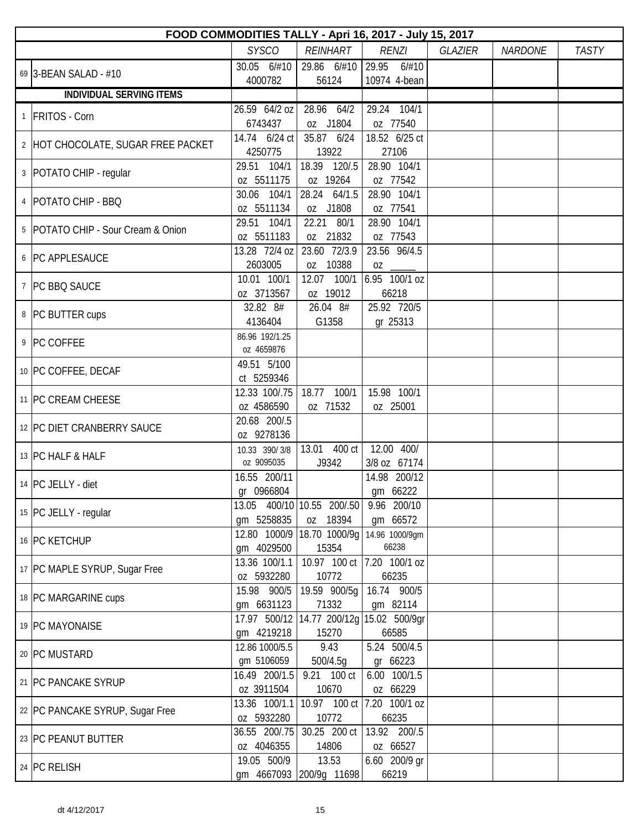| FOOD COMMODITIES TALLY - Apri 16, 2017 - July 15, 2017 |                             |                             |                         |                |                |              |  |  |
|--------------------------------------------------------|-----------------------------|-----------------------------|-------------------------|----------------|----------------|--------------|--|--|
|                                                        | <b>SYSCO</b>                | <b>REINHART</b>             | <b>RENZI</b>            | <b>GLAZIER</b> | <b>NARDONE</b> | <b>TASTY</b> |  |  |
| 69 3-BEAN SALAD - #10                                  | 30.05 6/#10                 | 29.86 6/#10                 | 29.95<br>6/#10          |                |                |              |  |  |
|                                                        | 4000782                     | 56124                       | 10974 4-bean            |                |                |              |  |  |
| <b>INDIVIDUAL SERVING ITEMS</b>                        |                             |                             |                         |                |                |              |  |  |
| 1 FRITOS - Corn                                        | 26.59 64/2 oz               | 28.96 64/2                  | 29.24 104/1             |                |                |              |  |  |
|                                                        | 6743437                     | oz J1804                    | oz 77540                |                |                |              |  |  |
| 2 HOT CHOCOLATE, SUGAR FREE PACKET                     | 14.74 6/24 ct               | 35.87 6/24                  | 18.52 6/25 ct           |                |                |              |  |  |
|                                                        | 4250775<br>29.51 104/1      | 13922                       | 27106<br>28.90 104/1    |                |                |              |  |  |
| 3   POTATO CHIP - regular                              | oz 5511175                  | 18.39 120/.5<br>oz 19264    | oz 77542                |                |                |              |  |  |
|                                                        | 30.06 104/1                 | 28.24 64/1.5                | 28.90 104/1             |                |                |              |  |  |
| 4   POTATO CHIP - BBQ                                  | oz 5511134                  | oz J1808                    | oz 77541                |                |                |              |  |  |
|                                                        | 29.51 104/1                 | 22.21 80/1                  | 28.90 104/1             |                |                |              |  |  |
| 5 POTATO CHIP - Sour Cream & Onion                     | oz 5511183                  | oz 21832                    | oz 77543                |                |                |              |  |  |
|                                                        | 13.28 72/4 oz               | 23.60 72/3.9                | 23.56 96/4.5            |                |                |              |  |  |
| 6   PC APPLESAUCE                                      | 2603005                     | oz 10388                    |                         |                |                |              |  |  |
| 7   PC BBQ SAUCE                                       | 10.01 100/1                 | 12.07 100/1                 | 6.95 100/1 oz           |                |                |              |  |  |
|                                                        | oz 3713567                  | oz 19012                    | 66218                   |                |                |              |  |  |
| 8 PC BUTTER cups                                       | 32.82 8#                    | 26.04 8#                    | 25.92 720/5             |                |                |              |  |  |
|                                                        | 4136404                     | G1358                       | gr 25313                |                |                |              |  |  |
| 9 PC COFFEE                                            | 86.96 192/1.25              |                             |                         |                |                |              |  |  |
|                                                        | oz 4659876                  |                             |                         |                |                |              |  |  |
| 10 PC COFFEE, DECAF                                    | 49.51 5/100<br>ct 5259346   |                             |                         |                |                |              |  |  |
|                                                        | 12.33 100/.75               | 100/1<br>18.77              | 15.98 100/1             |                |                |              |  |  |
| 11 PC CREAM CHEESE                                     | oz 4586590                  | oz 71532                    | oz 25001                |                |                |              |  |  |
|                                                        | 20.68 200/.5                |                             |                         |                |                |              |  |  |
| 12 PC DIET CRANBERRY SAUCE                             | oz 9278136                  |                             |                         |                |                |              |  |  |
| 13 PC HALF & HALF                                      | 10.33 390/3/8               | 13.01 400 ct                | 12.00 400/              |                |                |              |  |  |
|                                                        | oz 9095035                  | J9342                       | 3/8 oz 67174            |                |                |              |  |  |
| 14 PC JELLY - diet                                     | 16.55 200/11                |                             | 14.98 200/12            |                |                |              |  |  |
|                                                        | gr 0966804                  |                             | gm 66222                |                |                |              |  |  |
| 15 PC JELLY - regular                                  |                             | 13.05 400/10 10.55 200/.50  | 9.96 200/10             |                |                |              |  |  |
|                                                        | gm 5258835                  | oz 18394                    | gm 66572                |                |                |              |  |  |
| 16 PC KETCHUP                                          | 12.80 1000/9                | 18.70 1000/9g<br>15354      | 14.96 1000/9gm<br>66238 |                |                |              |  |  |
|                                                        | gm 4029500<br>13.36 100/1.1 | 10.97 100 ct                | 7.20 100/1 oz           |                |                |              |  |  |
| 17 PC MAPLE SYRUP, Sugar Free                          | oz 5932280                  | 10772                       | 66235                   |                |                |              |  |  |
|                                                        | 15.98 900/5                 | 19.59 900/5q                | 16.74 900/5             |                |                |              |  |  |
| 18 PC MARGARINE cups                                   | gm 6631123                  | 71332                       | gm 82114                |                |                |              |  |  |
|                                                        | 17.97 500/12                | 14.77 200/12g 15.02 500/9gr |                         |                |                |              |  |  |
| 19 PC MAYONAISE                                        | gm 4219218                  | 15270                       | 66585                   |                |                |              |  |  |
| 20 PC MUSTARD                                          | 12.86 1000/5.5              | 9.43                        | 5.24 500/4.5            |                |                |              |  |  |
|                                                        | gm 5106059                  | 500/4.5g                    | gr 66223                |                |                |              |  |  |
| 21   PC PANCAKE SYRUP                                  | 16.49 200/1.5               | 9.21 100 ct                 | 6.00 100/1.5            |                |                |              |  |  |
|                                                        | oz 3911504                  | 10670                       | oz 66229                |                |                |              |  |  |
| 22 PC PANCAKE SYRUP, Sugar Free                        | 13.36 100/1.1               | 10.97 100 ct<br>10772       | 7.20 100/1 oz           |                |                |              |  |  |
|                                                        | oz 5932280<br>36.55 200/.75 | 30.25 200 ct                | 66235<br>13.92 200/.5   |                |                |              |  |  |
| 23 PC PEANUT BUTTER                                    | oz 4046355                  | 14806                       | oz 66527                |                |                |              |  |  |
|                                                        | 19.05 500/9                 | 13.53                       | 6.60 200/9 gr           |                |                |              |  |  |
| 24 PC RELISH                                           |                             | gm 4667093 200/9g 11698     | 66219                   |                |                |              |  |  |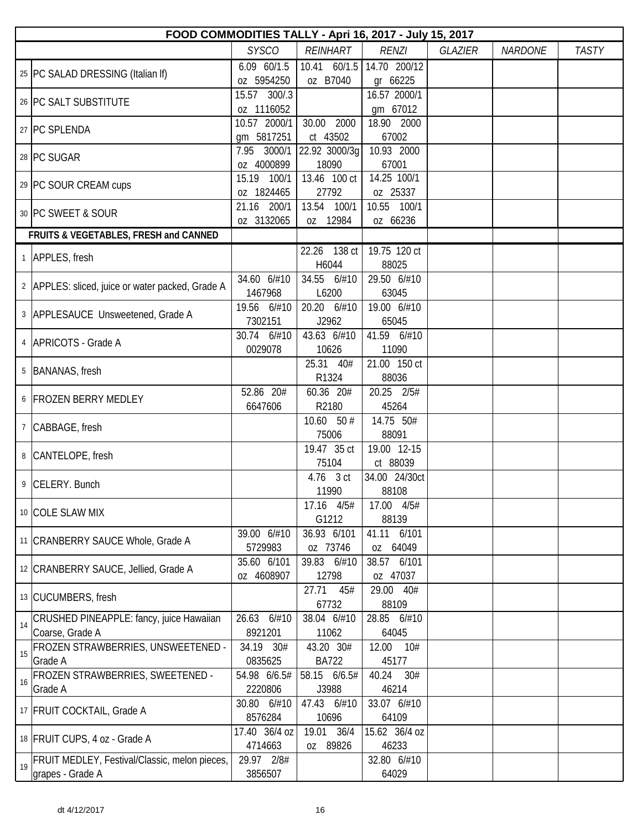|    | FOOD COMMODITIES TALLY - Apri 16, 2017 - July 15, 2017 |               |                 |                           |                |                |              |  |
|----|--------------------------------------------------------|---------------|-----------------|---------------------------|----------------|----------------|--------------|--|
|    |                                                        | <b>SYSCO</b>  | <b>REINHART</b> | <b>RENZI</b>              | <b>GLAZIER</b> | <b>NARDONE</b> | <b>TASTY</b> |  |
|    | 25   PC SALAD DRESSING (Italian If)                    | 6.09 60/1.5   |                 | 10.41 60/1.5 14.70 200/12 |                |                |              |  |
|    |                                                        | oz 5954250    | oz B7040        | gr 66225                  |                |                |              |  |
|    | 26 PC SALT SUBSTITUTE                                  | 15.57 300/.3  |                 | 16.57 2000/1              |                |                |              |  |
|    |                                                        | oz 1116052    |                 | gm 67012                  |                |                |              |  |
|    | 27 PC SPLENDA                                          | 10.57 2000/1  | 30.00 2000      | 18.90 2000                |                |                |              |  |
|    |                                                        | gm 5817251    | ct 43502        | 67002                     |                |                |              |  |
|    | 28 PC SUGAR                                            | 7.95 3000/1   | 22.92 3000/3g   | 10.93 2000                |                |                |              |  |
|    |                                                        | oz 4000899    | 18090           | 67001                     |                |                |              |  |
|    | 29 PC SOUR CREAM cups                                  | 15.19 100/1   | 13.46 100 ct    | 14.25 100/1               |                |                |              |  |
|    |                                                        | oz 1824465    | 27792           | oz 25337                  |                |                |              |  |
|    | 30 PC SWEET & SOUR                                     | 21.16 200/1   | 13.54 100/1     | 10.55 100/1               |                |                |              |  |
|    |                                                        | oz 3132065    | oz 12984        | oz 66236                  |                |                |              |  |
|    | FRUITS & VEGETABLES, FRESH and CANNED                  |               |                 |                           |                |                |              |  |
|    | 1 APPLES, fresh                                        |               | 22.26 138 ct    | 19.75 120 ct              |                |                |              |  |
|    |                                                        |               | H6044           | 88025                     |                |                |              |  |
|    | 2 APPLES: sliced, juice or water packed, Grade A       | 34.60 6/#10   | 34.55 6/#10     | 29.50 6/#10               |                |                |              |  |
|    |                                                        | 1467968       | L6200           | 63045                     |                |                |              |  |
|    | 3 APPLESAUCE Unsweetened, Grade A                      | 19.56 6/#10   | 20.20 6/#10     | 19.00 6/#10               |                |                |              |  |
|    |                                                        | 7302151       | J2962           | 65045                     |                |                |              |  |
|    | 4   APRICOTS - Grade A                                 | 30.74 6/#10   | 43.63 6/#10     | 41.59 6/#10               |                |                |              |  |
|    |                                                        | 0029078       | 10626           | 11090                     |                |                |              |  |
|    | 5   BANANAS, fresh                                     |               | 25.31 40#       | 21.00 150 ct              |                |                |              |  |
|    |                                                        |               | R1324           | 88036                     |                |                |              |  |
|    | 6 FROZEN BERRY MEDLEY                                  | 52.86 20#     | 60.36 20#       | 20.25 2/5#                |                |                |              |  |
|    |                                                        | 6647606       | R2180           | 45264                     |                |                |              |  |
|    | 7 CABBAGE, fresh                                       |               | $10.60$ 50 #    | 14.75 50#                 |                |                |              |  |
|    |                                                        |               | 75006           | 88091                     |                |                |              |  |
|    | 8 CANTELOPE, fresh                                     |               | 19.47 35 ct     | 19.00 12-15               |                |                |              |  |
|    |                                                        |               | 75104           | ct 88039                  |                |                |              |  |
|    | 9 CELERY. Bunch                                        |               | 4.76 3 ct       | 34.00 24/30ct             |                |                |              |  |
|    |                                                        |               | 11990           | 88108                     |                |                |              |  |
|    | 10 COLE SLAW MIX                                       |               | 17.16 4/5#      | 17.00 4/5#                |                |                |              |  |
|    |                                                        |               | G1212           | 88139                     |                |                |              |  |
|    | 11 CRANBERRY SAUCE Whole, Grade A                      | 39.00 6/#10   | 36.93 6/101     | 41.11 6/101               |                |                |              |  |
|    |                                                        | 5729983       | oz 73746        | oz 64049                  |                |                |              |  |
|    | 12 CRANBERRY SAUCE, Jellied, Grade A                   | 35.60 6/101   | 39.83 6/#10     | 38.57 6/101               |                |                |              |  |
|    |                                                        | oz 4608907    | 12798           | oz 47037                  |                |                |              |  |
|    | 13 CUCUMBERS, fresh                                    |               | 27.71 45#       | 29.00 40#                 |                |                |              |  |
|    |                                                        |               | 67732           | 88109                     |                |                |              |  |
| 14 | CRUSHED PINEAPPLE: fancy, juice Hawaiian               | 26.63 6/#10   | 38.04 6/#10     | 28.85 6/#10               |                |                |              |  |
|    | Coarse, Grade A                                        | 8921201       | 11062           | 64045                     |                |                |              |  |
| 15 | FROZEN STRAWBERRIES, UNSWEETENED -                     | 34.19 30#     | 43.20 30#       | 12.00 10#                 |                |                |              |  |
|    | Grade A                                                | 0835625       | <b>BA722</b>    | 45177                     |                |                |              |  |
| 16 | FROZEN STRAWBERRIES, SWEETENED -                       | 54.98 6/6.5#  | 58.15 6/6.5#    | 40.24<br>30#              |                |                |              |  |
|    | Grade A                                                | 2220806       | J3988           | 46214                     |                |                |              |  |
|    | 17 FRUIT COCKTAIL, Grade A                             | 30.80 6/#10   | 47.43 6/#10     | 33.07 6/#10               |                |                |              |  |
|    |                                                        | 8576284       | 10696           | 64109                     |                |                |              |  |
|    | 18 FRUIT CUPS, 4 oz - Grade A                          | 17.40 36/4 oz | 19.01 36/4      | 15.62 36/4 oz             |                |                |              |  |
|    |                                                        | 4714663       | oz 89826        | 46233                     |                |                |              |  |
| 19 | FRUIT MEDLEY, Festival/Classic, melon pieces,          | 29.97 2/8#    |                 | 32.80 6/#10               |                |                |              |  |
|    | grapes - Grade A                                       | 3856507       |                 | 64029                     |                |                |              |  |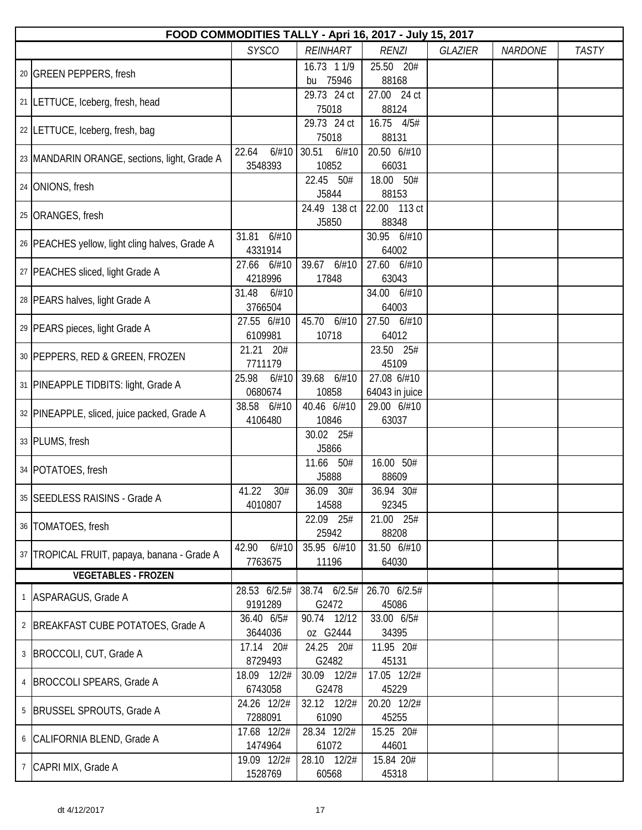| FOOD COMMODITIES TALLY - Apri 16, 2017 - July 15, 2017 |                |                    |                |                |                |              |  |  |
|--------------------------------------------------------|----------------|--------------------|----------------|----------------|----------------|--------------|--|--|
|                                                        | <b>SYSCO</b>   | <b>REINHART</b>    | <b>RENZI</b>   | <b>GLAZIER</b> | <b>NARDONE</b> | <b>TASTY</b> |  |  |
| 20 GREEN PEPPERS, fresh                                |                | 16.73 1 1/9        | 25.50 20#      |                |                |              |  |  |
|                                                        |                | bu 75946           | 88168          |                |                |              |  |  |
| 21 LETTUCE, Iceberg, fresh, head                       |                | 29.73 24 ct        | 27.00 24 ct    |                |                |              |  |  |
|                                                        |                | 75018              | 88124          |                |                |              |  |  |
| 22 LETTUCE, Iceberg, fresh, bag                        |                | 29.73 24 ct        | 16.75 4/5#     |                |                |              |  |  |
|                                                        |                | 75018              | 88131          |                |                |              |  |  |
| 23 MANDARIN ORANGE, sections, light, Grade A           | 22.64<br>6/#10 | 6/#10<br>30.51     | 20.50 6/#10    |                |                |              |  |  |
|                                                        | 3548393        | 10852              | 66031          |                |                |              |  |  |
| 24 ONIONS, fresh                                       |                | 22.45<br>50#       | 18.00 50#      |                |                |              |  |  |
|                                                        |                | J5844              | 88153          |                |                |              |  |  |
| 25 ORANGES, fresh                                      |                | 24.49 138 ct       | 22.00 113 ct   |                |                |              |  |  |
|                                                        |                | J5850              | 88348          |                |                |              |  |  |
| 26   PEACHES yellow, light cling halves, Grade A       | 31.81<br>6/#10 |                    | 30.95 6/#10    |                |                |              |  |  |
|                                                        | 4331914        |                    | 64002          |                |                |              |  |  |
| 27   PEACHES sliced, light Grade A                     | 6/#10<br>27.66 | 39.67<br>6/#10     | 27.60 6/#10    |                |                |              |  |  |
|                                                        | 4218996        | 17848              | 63043          |                |                |              |  |  |
| 28 PEARS halves, light Grade A                         | 31.48<br>6/#10 |                    | 34.00 6/#10    |                |                |              |  |  |
|                                                        | 3766504        |                    | 64003          |                |                |              |  |  |
| 29   PEARS pieces, light Grade A                       | 27.55 6/#10    | 45.70 6/#10        | 27.50 6/#10    |                |                |              |  |  |
|                                                        | 6109981        | 10718              | 64012          |                |                |              |  |  |
| 30 PEPPERS, RED & GREEN, FROZEN                        | 21.21<br>20#   |                    | 23.50 25#      |                |                |              |  |  |
|                                                        | 7711179        |                    | 45109          |                |                |              |  |  |
| 31   PINEAPPLE TIDBITS: light, Grade A                 | 6/#10<br>25.98 | 39.68<br>6/#10     | 27.08 6/#10    |                |                |              |  |  |
|                                                        | 0680674        | 10858              | 64043 in juice |                |                |              |  |  |
| 32 PINEAPPLE, sliced, juice packed, Grade A            | 38.58<br>6/#10 | 40.46 6/#10        | 29.00 6/#10    |                |                |              |  |  |
|                                                        | 4106480        | 10846              | 63037          |                |                |              |  |  |
| 33 PLUMS, fresh                                        |                | 30.02 25#<br>J5866 |                |                |                |              |  |  |
|                                                        |                | 11.66<br>50#       | 16.00 50#      |                |                |              |  |  |
| 34 POTATOES, fresh                                     |                | J5888              | 88609          |                |                |              |  |  |
|                                                        | 41.22<br>30#   | 36.09<br>30#       | 36.94 30#      |                |                |              |  |  |
| 35 SEEDLESS RAISINS - Grade A                          | 4010807        | 14588              | 92345          |                |                |              |  |  |
|                                                        |                | 22.09 25#          | 21.00 25#      |                |                |              |  |  |
| 36   TOMATOES, fresh                                   |                | 25942              | 88208          |                |                |              |  |  |
|                                                        | 6/#10<br>42.90 | 35.95 6/#10        | 31.50 6/#10    |                |                |              |  |  |
| 37 TROPICAL FRUIT, papaya, banana - Grade A            | 7763675        | 11196              | 64030          |                |                |              |  |  |
| <b>VEGETABLES - FROZEN</b>                             |                |                    |                |                |                |              |  |  |
|                                                        | 28.53 6/2.5#   | 38.74 6/2.5#       | 26.70 6/2.5#   |                |                |              |  |  |
| 1 ASPARAGUS, Grade A                                   | 9191289        | G2472              | 45086          |                |                |              |  |  |
|                                                        | 36.40 6/5#     | 90.74 12/12        | 33.00 6/5#     |                |                |              |  |  |
| 2 BREAKFAST CUBE POTATOES, Grade A                     | 3644036        | oz G2444           | 34395          |                |                |              |  |  |
|                                                        | 17.14 20#      | 24.25 20#          | 11.95 20#      |                |                |              |  |  |
| 3   BROCCOLI, CUT, Grade A                             | 8729493        | G2482              | 45131          |                |                |              |  |  |
|                                                        | 18.09 12/2#    | 30.09 12/2#        | 17.05 12/2#    |                |                |              |  |  |
| 4   BROCCOLI SPEARS, Grade A                           | 6743058        | G2478              | 45229          |                |                |              |  |  |
|                                                        | 24.26 12/2#    | 32.12 12/2#        | 20.20 12/2#    |                |                |              |  |  |
| 5   BRUSSEL SPROUTS, Grade A                           | 7288091        | 61090              | 45255          |                |                |              |  |  |
|                                                        | 17.68 12/2#    | 28.34 12/2#        | 15.25 20#      |                |                |              |  |  |
| 6 CALIFORNIA BLEND, Grade A                            | 1474964        | 61072              | 44601          |                |                |              |  |  |
|                                                        | 19.09 12/2#    | 28.10 12/2#        | 15.84 20#      |                |                |              |  |  |
| 7 CAPRI MIX, Grade A                                   | 1528769        | 60568              | 45318          |                |                |              |  |  |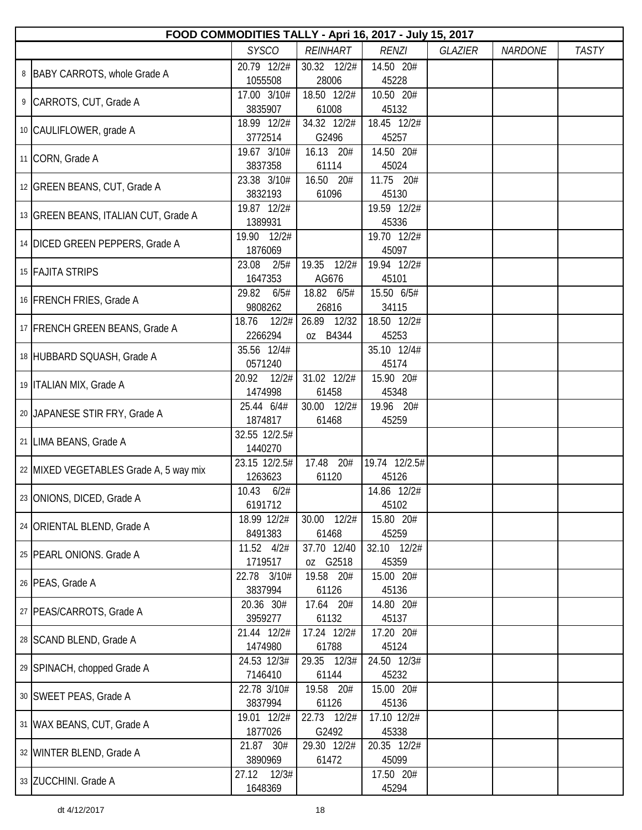| FOOD COMMODITIES TALLY - Apri 16, 2017 - July 15, 2017 |                           |                         |                        |                |                |              |  |  |  |
|--------------------------------------------------------|---------------------------|-------------------------|------------------------|----------------|----------------|--------------|--|--|--|
|                                                        | <b>SYSCO</b>              | <b>REINHART</b>         | <b>RENZI</b>           | <b>GLAZIER</b> | <b>NARDONE</b> | <b>TASTY</b> |  |  |  |
| 8   BABY CARROTS, whole Grade A                        | 20.79 12/2#<br>1055508    | 30.32 12/2#<br>28006    | 14.50 20#<br>45228     |                |                |              |  |  |  |
| 9 CARROTS, CUT, Grade A                                | 17.00 3/10#<br>3835907    | 18.50 12/2#<br>61008    | 10.50 20#<br>45132     |                |                |              |  |  |  |
| 10 CAULIFLOWER, grade A                                | 18.99 12/2#<br>3772514    | 34.32 12/2#<br>G2496    | 18.45 12/2#<br>45257   |                |                |              |  |  |  |
| 11 CORN, Grade A                                       | 19.67 3/10#<br>3837358    | 16.13 20#<br>61114      | 14.50 20#<br>45024     |                |                |              |  |  |  |
| 12 GREEN BEANS, CUT, Grade A                           | 23.38 3/10#<br>3832193    | 16.50 20#<br>61096      | 11.75 20#<br>45130     |                |                |              |  |  |  |
| 13 GREEN BEANS, ITALIAN CUT, Grade A                   | 19.87 12/2#<br>1389931    |                         | 19.59 12/2#<br>45336   |                |                |              |  |  |  |
| 14 DICED GREEN PEPPERS, Grade A                        | 19.90 12/2#<br>1876069    |                         | 19.70 12/2#<br>45097   |                |                |              |  |  |  |
| 15 FAJITA STRIPS                                       | 23.08<br>2/5#<br>1647353  | 19.35 12/2#<br>AG676    | 19.94 12/2#<br>45101   |                |                |              |  |  |  |
| 16 FRENCH FRIES, Grade A                               | 29.82<br>6/5#<br>9808262  | 18.82 6/5#<br>26816     | 15.50 6/5#<br>34115    |                |                |              |  |  |  |
| 17 FRENCH GREEN BEANS, Grade A                         | 18.76<br>12/2#<br>2266294 | 26.89 12/32<br>oz B4344 | 18.50 12/2#<br>45253   |                |                |              |  |  |  |
| 18 HUBBARD SQUASH, Grade A                             | 35.56 12/4#<br>0571240    |                         | 35.10 12/4#<br>45174   |                |                |              |  |  |  |
| 19   ITALIAN MIX, Grade A                              | 20.92<br>12/2#<br>1474998 | 31.02 12/2#<br>61458    | 15.90 20#<br>45348     |                |                |              |  |  |  |
| 20 JAPANESE STIR FRY, Grade A                          | 25.44 6/4#<br>1874817     | 30.00 12/2#<br>61468    | 19.96 20#<br>45259     |                |                |              |  |  |  |
| 21 LIMA BEANS, Grade A                                 | 32.55 12/2.5#<br>1440270  |                         |                        |                |                |              |  |  |  |
| 22 MIXED VEGETABLES Grade A, 5 way mix                 | 23.15 12/2.5#<br>1263623  | 17.48 20#<br>61120      | 19.74 12/2.5#<br>45126 |                |                |              |  |  |  |
| 23 ONIONS, DICED, Grade A                              | 10.43 6/2#<br>6191712     |                         | 14.86 12/2#<br>45102   |                |                |              |  |  |  |
| 24 ORIENTAL BLEND, Grade A                             | 18.99 12/2#<br>8491383    | 30.00 12/2#<br>61468    | 15.80 20#<br>45259     |                |                |              |  |  |  |
| 25   PEARL ONIONS. Grade A                             | 11.52 4/2#<br>1719517     | 37.70 12/40<br>oz G2518 | 32.10 12/2#<br>45359   |                |                |              |  |  |  |
| 26   PEAS, Grade A                                     | 22.78 3/10#<br>3837994    | 19.58 20#<br>61126      | 15.00 20#<br>45136     |                |                |              |  |  |  |
| 27   PEAS/CARROTS, Grade A                             | 20.36 30#<br>3959277      | 17.64 20#<br>61132      | 14.80 20#<br>45137     |                |                |              |  |  |  |
| 28 SCAND BLEND, Grade A                                | 21.44 12/2#<br>1474980    | 17.24 12/2#<br>61788    | 17.20 20#<br>45124     |                |                |              |  |  |  |
| 29 SPINACH, chopped Grade A                            | 24.53 12/3#<br>7146410    | 29.35 12/3#<br>61144    | 24.50 12/3#<br>45232   |                |                |              |  |  |  |
| 30   SWEET PEAS, Grade A                               | 22.78 3/10#<br>3837994    | 19.58 20#<br>61126      | 15.00 20#<br>45136     |                |                |              |  |  |  |
| 31 WAX BEANS, CUT, Grade A                             | 19.01 12/2#<br>1877026    | 22.73 12/2#<br>G2492    | 17.10 12/2#<br>45338   |                |                |              |  |  |  |
| 32 WINTER BLEND, Grade A                               | 21.87 30#<br>3890969      | 29.30 12/2#<br>61472    | 20.35 12/2#<br>45099   |                |                |              |  |  |  |
| 33 ZUCCHINI. Grade A                                   | 27.12 12/3#<br>1648369    |                         | 17.50 20#<br>45294     |                |                |              |  |  |  |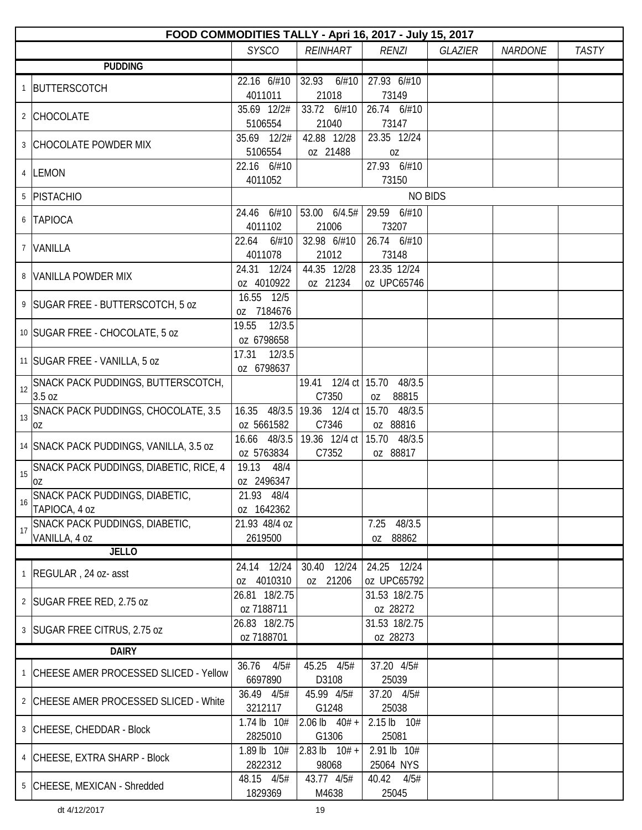|    | FOOD COMMODITIES TALLY - Apri 16, 2017 - July 15, 2017 |                          |                                         |                            |                |                |              |  |  |  |
|----|--------------------------------------------------------|--------------------------|-----------------------------------------|----------------------------|----------------|----------------|--------------|--|--|--|
|    |                                                        | <b>SYSCO</b>             | <b>REINHART</b>                         | <b>RENZI</b>               | <b>GLAZIER</b> | <b>NARDONE</b> | <b>TASTY</b> |  |  |  |
|    | <b>PUDDING</b>                                         |                          |                                         |                            |                |                |              |  |  |  |
|    | 1 BUTTERSCOTCH                                         | 22.16 6/#10              | 32.93<br>6/#10                          | 27.93 6/#10                |                |                |              |  |  |  |
|    |                                                        | 4011011                  | 21018                                   | 73149                      |                |                |              |  |  |  |
|    | 2 CHOCOLATE                                            | 35.69 12/2#              | 33.72 6/#10                             | 26.74 6/#10                |                |                |              |  |  |  |
|    |                                                        | 5106554                  | 21040                                   | 73147                      |                |                |              |  |  |  |
|    | 3 CHOCOLATE POWDER MIX                                 | 35.69 12/2#              | 42.88 12/28                             | 23.35 12/24                |                |                |              |  |  |  |
|    |                                                        | 5106554                  | oz 21488                                | 0Z                         |                |                |              |  |  |  |
|    | 4 LEMON                                                | 22.16 6/#10              |                                         | 27.93 6/#10                |                |                |              |  |  |  |
|    |                                                        | 4011052                  |                                         | 73150                      |                |                |              |  |  |  |
|    | 5 PISTACHIO                                            |                          |                                         | <b>NO BIDS</b>             |                |                |              |  |  |  |
|    | 6 TAPIOCA                                              | 24.46 6/#10              | 53.00 6/4.5#                            | 29.59 6/#10                |                |                |              |  |  |  |
|    |                                                        | 4011102                  | 21006                                   | 73207                      |                |                |              |  |  |  |
| 7  | VANILLA                                                | 22.64<br>6/#10           | 32.98 6/#10                             | 26.74 6/#10                |                |                |              |  |  |  |
|    |                                                        | 4011078<br>24.31 12/24   | 21012<br>44.35 12/28                    | 73148<br>23.35 12/24       |                |                |              |  |  |  |
|    | 8 VANILLA POWDER MIX                                   | oz 4010922               | oz 21234                                | oz UPC65746                |                |                |              |  |  |  |
|    |                                                        | 16.55 12/5               |                                         |                            |                |                |              |  |  |  |
|    | 9 SUGAR FREE - BUTTERSCOTCH, 5 oz                      | oz 7184676               |                                         |                            |                |                |              |  |  |  |
|    |                                                        | 19.55 12/3.5             |                                         |                            |                |                |              |  |  |  |
|    | 10 SUGAR FREE - CHOCOLATE, 5 oz                        | oz 6798658               |                                         |                            |                |                |              |  |  |  |
|    |                                                        | 17.31<br>12/3.5          |                                         |                            |                |                |              |  |  |  |
|    | 11 SUGAR FREE - VANILLA, 5 oz                          | oz 6798637               |                                         |                            |                |                |              |  |  |  |
| 12 | SNACK PACK PUDDINGS, BUTTERSCOTCH,                     |                          |                                         | 19.41 12/4 ct 15.70 48/3.5 |                |                |              |  |  |  |
|    | 3.5 oz                                                 |                          | C7350                                   | 88815<br>0Z                |                |                |              |  |  |  |
| 13 | SNACK PACK PUDDINGS, CHOCOLATE, 3.5                    |                          | 16.35 48/3.5 19.36 12/4 ct 15.70 48/3.5 |                            |                |                |              |  |  |  |
|    | 0Z                                                     | oz 5661582               | C7346                                   | oz 88816                   |                |                |              |  |  |  |
|    | 14 SNACK PACK PUDDINGS, VANILLA, 3.5 oz                |                          | 16.66 48/3.5 19.36 12/4 ct              | 15.70 48/3.5               |                |                |              |  |  |  |
|    |                                                        | oz 5763834               | C7352                                   | oz 88817                   |                |                |              |  |  |  |
| 15 | SNACK PACK PUDDINGS, DIABETIC, RICE, 4                 | 19.13<br>48/4            |                                         |                            |                |                |              |  |  |  |
|    | OZ                                                     | oz 2496347<br>21.93 48/4 |                                         |                            |                |                |              |  |  |  |
| 16 | SNACK PACK PUDDINGS, DIABETIC,<br>TAPIOCA, 4 oz        | oz 1642362               |                                         |                            |                |                |              |  |  |  |
|    | SNACK PACK PUDDINGS, DIABETIC,                         | 21.93 48/4 oz            |                                         | 48/3.5<br>7.25             |                |                |              |  |  |  |
| 17 | VANILLA, 4 oz                                          | 2619500                  |                                         | oz 88862                   |                |                |              |  |  |  |
|    | <b>JELLO</b>                                           |                          |                                         |                            |                |                |              |  |  |  |
|    |                                                        | 24.14 12/24              | 30.40 12/24                             | 24.25 12/24                |                |                |              |  |  |  |
|    | 1 REGULAR, 24 oz- asst                                 | oz 4010310               | oz 21206                                | oz UPC65792                |                |                |              |  |  |  |
|    | 2 SUGAR FREE RED, 2.75 oz                              | 26.81 18/2.75            |                                         | 31.53 18/2.75              |                |                |              |  |  |  |
|    |                                                        | oz 7188711               |                                         | oz 28272                   |                |                |              |  |  |  |
|    | 3   SUGAR FREE CITRUS, 2.75 oz                         | 26.83 18/2.75            |                                         | 31.53 18/2.75              |                |                |              |  |  |  |
|    |                                                        | oz 7188701               |                                         | oz 28273                   |                |                |              |  |  |  |
|    | <b>DAIRY</b>                                           |                          |                                         |                            |                |                |              |  |  |  |
|    | 1 CHEESE AMER PROCESSED SLICED - Yellow                | 4/5#<br>36.76            | 45.25 4/5#                              | 37.20 4/5#                 |                |                |              |  |  |  |
|    |                                                        | 6697890                  | D3108                                   | 25039                      |                |                |              |  |  |  |
|    | 2 CHEESE AMER PROCESSED SLICED - White                 | 36.49 4/5#<br>3212117    | 45.99 4/5#                              | 37.20 4/5#<br>25038        |                |                |              |  |  |  |
|    |                                                        | 1.74 lb 10#              | G1248<br>2.06 lb $40# +$                | 2.15 lb 10#                |                |                |              |  |  |  |
|    | 3 CHEESE, CHEDDAR - Block                              | 2825010                  | G1306                                   | 25081                      |                |                |              |  |  |  |
|    |                                                        | 1.89 lb 10#              | 2.83 lb $10# +$                         | 2.91 lb 10#                |                |                |              |  |  |  |
|    | 4 CHEESE, EXTRA SHARP - Block                          | 2822312                  | 98068                                   | 25064 NYS                  |                |                |              |  |  |  |
|    |                                                        | 48.15 4/5#               | 43.77 4/5#                              | 40.42 4/5#                 |                |                |              |  |  |  |
|    | 5 CHEESE, MEXICAN - Shredded                           | 1829369                  | M4638                                   | 25045                      |                |                |              |  |  |  |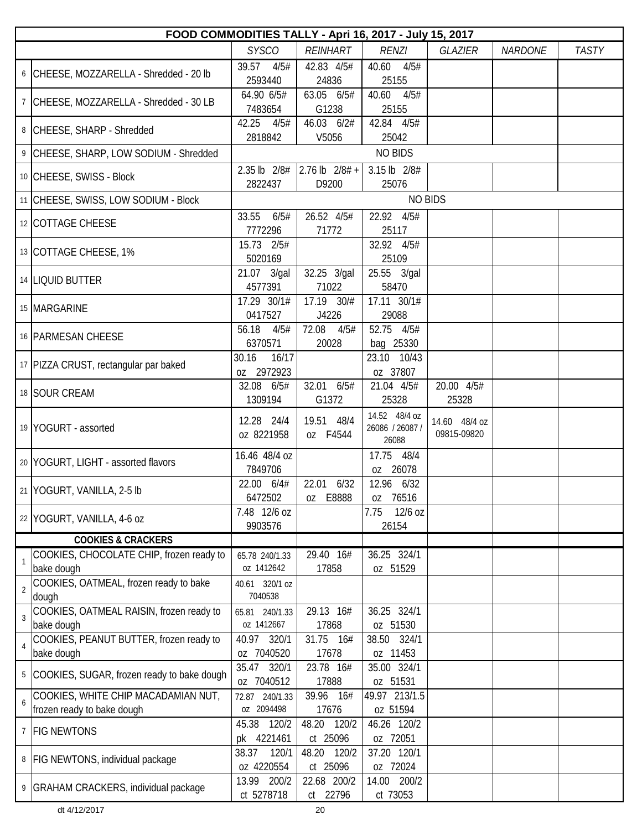| FOOD COMMODITIES TALLY - Apri 16, 2017 - July 15, 2017 |                                                                   |                              |                             |                                           |                              |                |              |  |
|--------------------------------------------------------|-------------------------------------------------------------------|------------------------------|-----------------------------|-------------------------------------------|------------------------------|----------------|--------------|--|
|                                                        |                                                                   | <b>SYSCO</b>                 | <b>REINHART</b>             | <b>RENZI</b>                              | <b>GLAZIER</b>               | <b>NARDONE</b> | <b>TASTY</b> |  |
|                                                        | 6 CHEESE, MOZZARELLA - Shredded - 20 lb                           | 39.57<br>4/5#<br>2593440     | 42.83 4/5#<br>24836         | 40.60<br>4/5#<br>25155                    |                              |                |              |  |
|                                                        | 7 CHEESE, MOZZARELLA - Shredded - 30 LB                           | 64.90 6/5#<br>7483654        | 63.05 6/5#<br>G1238         | 40.60<br>4/5#<br>25155                    |                              |                |              |  |
|                                                        | 8 CHEESE, SHARP - Shredded                                        | 42.25<br>4/5#<br>2818842     | 46.03 6/2#<br>V5056         | 42.84 4/5#<br>25042                       |                              |                |              |  |
|                                                        | 9 CHEESE, SHARP, LOW SODIUM - Shredded                            |                              |                             | <b>NO BIDS</b>                            |                              |                |              |  |
|                                                        | 10 CHEESE, SWISS - Block                                          | 2.35 lb 2/8#<br>2822437      | $2.76$ lb $2/8#$ +<br>D9200 | 3.15 lb 2/8#<br>25076                     |                              |                |              |  |
|                                                        | 11 CHEESE, SWISS, LOW SODIUM - Block                              |                              |                             |                                           | <b>NO BIDS</b>               |                |              |  |
|                                                        | 12 COTTAGE CHEESE                                                 | 33.55<br>6/5#<br>7772296     | 26.52 4/5#<br>71772         | 22.92 4/5#<br>25117                       |                              |                |              |  |
|                                                        | 13 COTTAGE CHEESE, 1%                                             | 15.73 2/5#<br>5020169        |                             | 32.92 4/5#<br>25109                       |                              |                |              |  |
|                                                        | 14 LIQUID BUTTER                                                  | 21.07 3/gal<br>4577391       | 32.25 3/gal<br>71022        | 25.55 3/gal<br>58470                      |                              |                |              |  |
|                                                        | 15 MARGARINE                                                      | 17.29 30/1#<br>0417527       | 17.19 30/#<br>J4226         | 17.11 30/1#<br>29088                      |                              |                |              |  |
|                                                        | 16 PARMESAN CHEESE                                                | 56.18<br>4/5#<br>6370571     | 72.08<br>4/5#<br>20028      | 52.75 4/5#<br>bag 25330                   |                              |                |              |  |
|                                                        | 17 PIZZA CRUST, rectangular par baked                             | 30.16<br>16/17<br>0Z 2972923 |                             | 23.10 10/43<br>oz 37807                   |                              |                |              |  |
|                                                        | 18 SOUR CREAM                                                     | 32.08 6/5#<br>1309194        | 32.01 6/5#<br>G1372         | 21.04 4/5#<br>25328                       | 20.00 4/5#<br>25328          |                |              |  |
|                                                        | 19 YOGURT - assorted                                              | 12.28 24/4<br>oz 8221958     | 19.51 48/4<br>oz F4544      | 14.52 48/4 oz<br>26086 / 26087 /<br>26088 | 14.60 48/4 oz<br>09815-09820 |                |              |  |
|                                                        | 20 YOGURT, LIGHT - assorted flavors                               | 16.46 48/4 oz<br>7849706     |                             | 17.75 48/4<br>oz 26078                    |                              |                |              |  |
|                                                        | 21 YOGURT, VANILLA, 2-5 lb                                        | 22.00 6/4#<br>6472502        | 22.01 6/32<br>0Z<br>E8888   | 12.96 6/32<br>76516<br>0Z                 |                              |                |              |  |
|                                                        | 22 YOGURT, VANILLA, 4-6 oz                                        | 7.48 12/6 oz<br>9903576      |                             | 7.75<br>12/6 oz<br>26154                  |                              |                |              |  |
|                                                        | <b>COOKIES &amp; CRACKERS</b>                                     |                              |                             |                                           |                              |                |              |  |
| 1                                                      | COOKIES, CHOCOLATE CHIP, frozen ready to<br>bake dough            | 65.78 240/1.33<br>oz 1412642 | 29.40 16#<br>17858          | 36.25 324/1<br>oz 51529                   |                              |                |              |  |
| $\overline{2}$                                         | COOKIES, OATMEAL, frozen ready to bake<br>dough                   | 40.61 320/1 oz<br>7040538    |                             |                                           |                              |                |              |  |
| 3                                                      | COOKIES, OATMEAL RAISIN, frozen ready to<br>bake dough            | 65.81 240/1.33<br>oz 1412667 | 29.13 16#<br>17868          | 36.25 324/1<br>oz 51530                   |                              |                |              |  |
| $\overline{4}$                                         | COOKIES, PEANUT BUTTER, frozen ready to<br>bake dough             | 40.97 320/1<br>oz 7040520    | 31.75 16#<br>17678          | 38.50 324/1<br>oz 11453                   |                              |                |              |  |
| 5                                                      | COOKIES, SUGAR, frozen ready to bake dough                        | 35.47 320/1<br>oz 7040512    | 23.78 16#<br>17888          | 35.00 324/1<br>oz 51531                   |                              |                |              |  |
| 6                                                      | COOKIES, WHITE CHIP MACADAMIAN NUT,<br>frozen ready to bake dough | 72.87 240/1.33<br>oz 2094498 | 39.96 16#<br>17676          | 49.97 213/1.5<br>oz 51594                 |                              |                |              |  |
|                                                        | 7 FIG NEWTONS                                                     | 45.38 120/2<br>pk 4221461    | 48.20 120/2<br>ct 25096     | 46.26 120/2<br>oz 72051                   |                              |                |              |  |
|                                                        | 8   FIG NEWTONS, individual package                               | 38.37<br>120/1<br>oz 4220554 | 48.20 120/2<br>ct 25096     | 37.20 120/1<br>oz 72024                   |                              |                |              |  |
|                                                        | 9 GRAHAM CRACKERS, individual package                             | 13.99 200/2<br>ct 5278718    | 22.68 200/2<br>ct 22796     | 14.00 200/2<br>ct 73053                   |                              |                |              |  |

dt 4/12/2017 20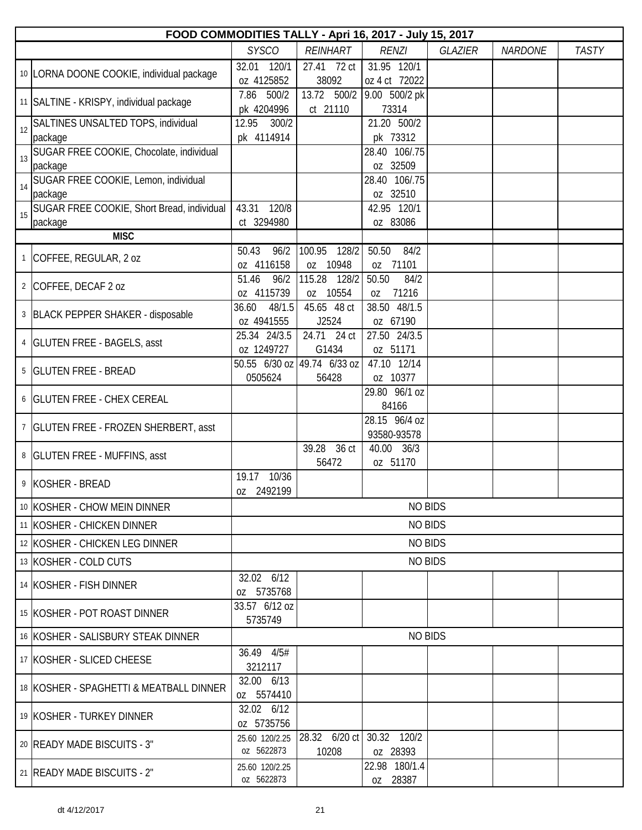|    | FOOD COMMODITIES TALLY - Apri 16, 2017 - July 15, 2017 |                               |                                      |                              |                |                |              |  |  |
|----|--------------------------------------------------------|-------------------------------|--------------------------------------|------------------------------|----------------|----------------|--------------|--|--|
|    |                                                        | <b>SYSCO</b>                  | <b>REINHART</b>                      | <b>RENZI</b>                 | <b>GLAZIER</b> | <b>NARDONE</b> | <b>TASTY</b> |  |  |
|    | 10 LORNA DOONE COOKIE, individual package              | 32.01<br>120/1<br>oz 4125852  | 27.41 72 ct<br>38092                 | 31.95 120/1<br>oz 4 ct 72022 |                |                |              |  |  |
|    | 11 SALTINE - KRISPY, individual package                | 7.86<br>500/2<br>pk 4204996   | 13.72 500/2<br>ct 21110              | 9.00 500/2 pk<br>73314       |                |                |              |  |  |
| 12 | SALTINES UNSALTED TOPS, individual<br>package          | 12.95<br>300/2<br>pk 4114914  |                                      | 21.20 500/2<br>pk 73312      |                |                |              |  |  |
| 13 | SUGAR FREE COOKIE, Chocolate, individual<br>package    |                               |                                      | 28.40 106/.75<br>oz 32509    |                |                |              |  |  |
| 14 | SUGAR FREE COOKIE, Lemon, individual<br>package        |                               |                                      | 28.40 106/.75<br>oz 32510    |                |                |              |  |  |
| 15 | SUGAR FREE COOKIE, Short Bread, individual<br>package  | 43.31<br>120/8<br>ct 3294980  |                                      | 42.95 120/1<br>oz 83086      |                |                |              |  |  |
|    | <b>MISC</b>                                            |                               |                                      |                              |                |                |              |  |  |
|    | 1 COFFEE, REGULAR, 2 oz                                | 96/2<br>50.43<br>oz 4116158   | 100.95<br>$-128/2$<br>oz 10948       | 50.50<br>84/2<br>oz 71101    |                |                |              |  |  |
|    | 2 COFFEE, DECAF 2 oz                                   | 51.46<br>96/2<br>oz 4115739   | 115.28<br>128/2<br>oz 10554          | 50.50<br>84/2<br>71216<br>0Z |                |                |              |  |  |
|    | 3 BLACK PEPPER SHAKER - disposable                     | 36.60<br>48/1.5<br>oz 4941555 | 45.65 48 ct<br>J2524                 | 38.50 48/1.5<br>oz 67190     |                |                |              |  |  |
|    | 4   GLUTEN FREE - BAGELS, asst                         | 25.34 24/3.5<br>oz 1249727    | 24.71 24 ct<br>G1434                 | 27.50 24/3.5<br>oz 51171     |                |                |              |  |  |
|    | 5   GLUTEN FREE - BREAD                                | 0505624                       | 50.55 6/30 oz 49.74 6/33 oz<br>56428 | 47.10 12/14<br>oz 10377      |                |                |              |  |  |
|    | 6 GLUTEN FREE - CHEX CEREAL                            |                               |                                      | 29.80 96/1 oz<br>84166       |                |                |              |  |  |
|    | 7 GLUTEN FREE - FROZEN SHERBERT, asst                  |                               |                                      | 28.15 96/4 oz<br>93580-93578 |                |                |              |  |  |
|    | 8 GLUTEN FREE - MUFFINS, asst                          |                               | 39.28 36 ct<br>56472                 | 40.00 36/3<br>oz 51170       |                |                |              |  |  |
|    | 9 KOSHER - BREAD                                       | 19.17 10/36<br>oz 2492199     |                                      |                              |                |                |              |  |  |
|    | 10 KOSHER - CHOW MEIN DINNER                           |                               |                                      | <b>NO BIDS</b>               |                |                |              |  |  |
|    | 11 KOSHER - CHICKEN DINNER                             |                               |                                      | <b>NO BIDS</b>               |                |                |              |  |  |
|    | 12 KOSHER - CHICKEN LEG DINNER                         |                               |                                      | <b>NO BIDS</b>               |                |                |              |  |  |
|    | 13 KOSHER - COLD CUTS                                  |                               |                                      | <b>NO BIDS</b>               |                |                |              |  |  |
|    | 14 KOSHER - FISH DINNER                                | 32.02 6/12<br>oz 5735768      |                                      |                              |                |                |              |  |  |
|    | 15 KOSHER - POT ROAST DINNER                           | 33.57 6/12 oz<br>5735749      |                                      |                              |                |                |              |  |  |
|    | 16 KOSHER - SALISBURY STEAK DINNER                     |                               |                                      | <b>NO BIDS</b>               |                |                |              |  |  |
|    | 17 KOSHER - SLICED CHEESE                              | 36.49 4/5#<br>3212117         |                                      |                              |                |                |              |  |  |
|    | 18 KOSHER - SPAGHETTI & MEATBALL DINNER                | 32.00 6/13<br>oz 5574410      |                                      |                              |                |                |              |  |  |
|    | 19 KOSHER - TURKEY DINNER                              | 32.02 6/12<br>oz 5735756      |                                      |                              |                |                |              |  |  |
|    | 20 READY MADE BISCUITS - 3"                            | 25.60 120/2.25<br>oz 5622873  | 28.32 6/20 ct 30.32 120/2<br>10208   | oz 28393                     |                |                |              |  |  |
|    | 21   READY MADE BISCUITS - 2"                          | 25.60 120/2.25<br>oz 5622873  |                                      | 22.98 180/1.4<br>oz 28387    |                |                |              |  |  |